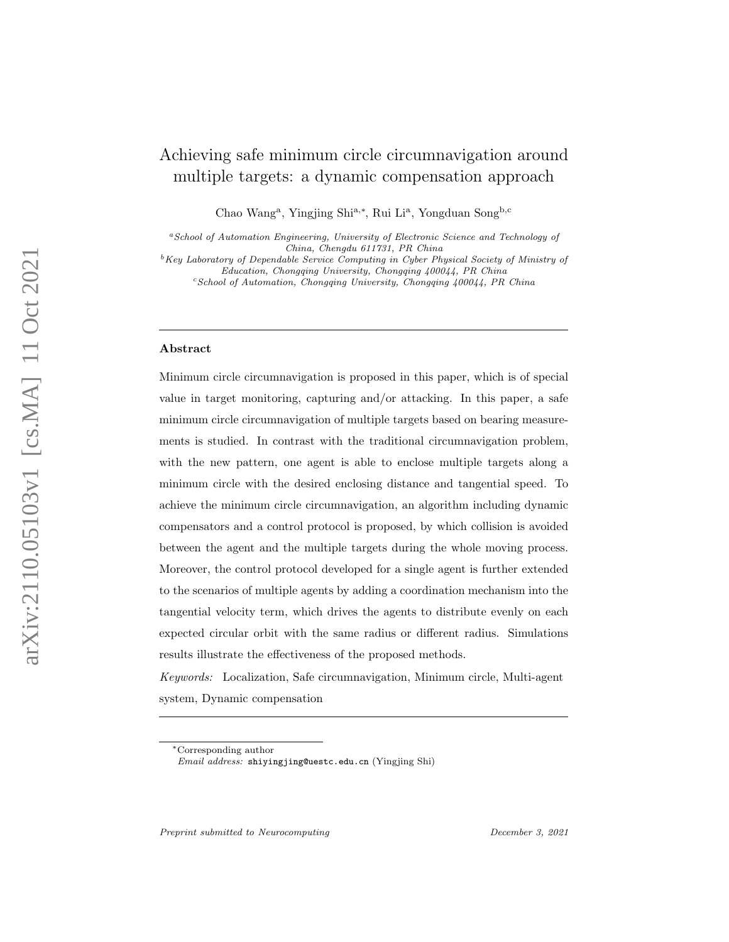# Achieving safe minimum circle circumnavigation around multiple targets: a dynamic compensation approach

Chao Wang<sup>a</sup>, Yingjing Shi<sup>a,∗</sup>, Rui Li<sup>a</sup>, Yongduan Song<sup>b,c</sup>

<sup>a</sup>School of Automation Engineering, University of Electronic Science and Technology of China, Chengdu 611731, PR China

 ${}^b$ Key Laboratory of Dependable Service Computing in Cyber Physical Society of Ministry of Education, Chongqing University, Chongqing 400044, PR China

 $c$ School of Automation, Chongqing University, Chongqing  $400044$ , PR China

### Abstract

Minimum circle circumnavigation is proposed in this paper, which is of special value in target monitoring, capturing and/or attacking. In this paper, a safe minimum circle circumnavigation of multiple targets based on bearing measurements is studied. In contrast with the traditional circumnavigation problem, with the new pattern, one agent is able to enclose multiple targets along a minimum circle with the desired enclosing distance and tangential speed. To achieve the minimum circle circumnavigation, an algorithm including dynamic compensators and a control protocol is proposed, by which collision is avoided between the agent and the multiple targets during the whole moving process. Moreover, the control protocol developed for a single agent is further extended to the scenarios of multiple agents by adding a coordination mechanism into the tangential velocity term, which drives the agents to distribute evenly on each expected circular orbit with the same radius or different radius. Simulations results illustrate the effectiveness of the proposed methods.

Keywords: Localization, Safe circumnavigation, Minimum circle, Multi-agent system, Dynamic compensation

<sup>∗</sup>Corresponding author

Email address: shiyingjing@uestc.edu.cn (Yingjing Shi)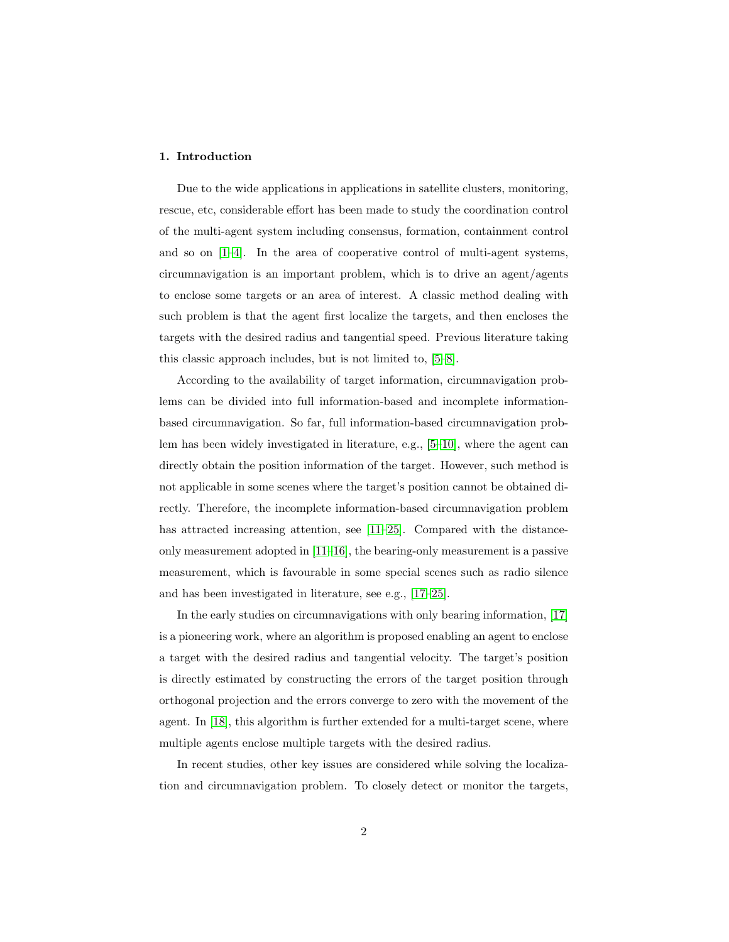# 1. Introduction

Due to the wide applications in applications in satellite clusters, monitoring, rescue, etc, considerable effort has been made to study the coordination control of the multi-agent system including consensus, formation, containment control and so on  $[1-4]$  $[1-4]$ . In the area of cooperative control of multi-agent systems, circumnavigation is an important problem, which is to drive an agent/agents to enclose some targets or an area of interest. A classic method dealing with such problem is that the agent first localize the targets, and then encloses the targets with the desired radius and tangential speed. Previous literature taking this classic approach includes, but is not limited to, [\[5–](#page-26-2)[8\]](#page-26-3).

According to the availability of target information, circumnavigation problems can be divided into full information-based and incomplete informationbased circumnavigation. So far, full information-based circumnavigation problem has been widely investigated in literature, e.g., [\[5](#page-26-2)[–10\]](#page-27-0), where the agent can directly obtain the position information of the target. However, such method is not applicable in some scenes where the target's position cannot be obtained directly. Therefore, the incomplete information-based circumnavigation problem has attracted increasing attention, see [\[11](#page-27-1)[–25\]](#page-28-0). Compared with the distanceonly measurement adopted in [\[11–](#page-27-1)[16\]](#page-27-2), the bearing-only measurement is a passive measurement, which is favourable in some special scenes such as radio silence and has been investigated in literature, see e.g., [\[17–](#page-27-3)[25\]](#page-28-0).

In the early studies on circumnavigations with only bearing information, [\[17\]](#page-27-3) is a pioneering work, where an algorithm is proposed enabling an agent to enclose a target with the desired radius and tangential velocity. The target's position is directly estimated by constructing the errors of the target position through orthogonal projection and the errors converge to zero with the movement of the agent. In [\[18\]](#page-28-1), this algorithm is further extended for a multi-target scene, where multiple agents enclose multiple targets with the desired radius.

In recent studies, other key issues are considered while solving the localization and circumnavigation problem. To closely detect or monitor the targets,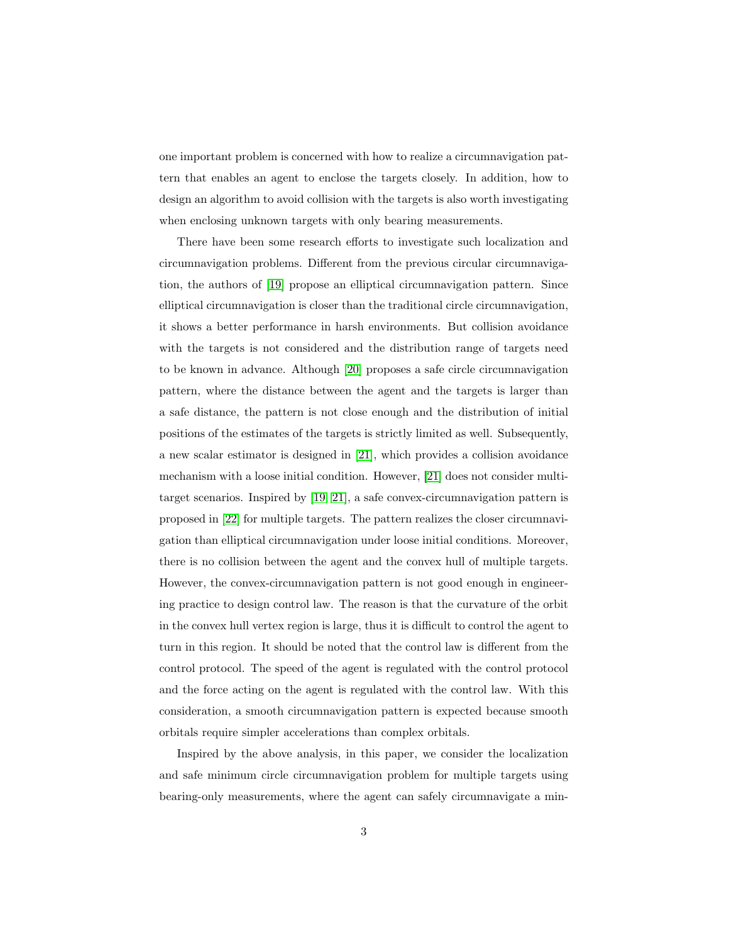one important problem is concerned with how to realize a circumnavigation pattern that enables an agent to enclose the targets closely. In addition, how to design an algorithm to avoid collision with the targets is also worth investigating when enclosing unknown targets with only bearing measurements.

There have been some research efforts to investigate such localization and circumnavigation problems. Different from the previous circular circumnavigation, the authors of [\[19\]](#page-28-2) propose an elliptical circumnavigation pattern. Since elliptical circumnavigation is closer than the traditional circle circumnavigation, it shows a better performance in harsh environments. But collision avoidance with the targets is not considered and the distribution range of targets need to be known in advance. Although [\[20\]](#page-28-3) proposes a safe circle circumnavigation pattern, where the distance between the agent and the targets is larger than a safe distance, the pattern is not close enough and the distribution of initial positions of the estimates of the targets is strictly limited as well. Subsequently, a new scalar estimator is designed in [\[21\]](#page-28-4), which provides a collision avoidance mechanism with a loose initial condition. However, [\[21\]](#page-28-4) does not consider multitarget scenarios. Inspired by [\[19,](#page-28-2) [21\]](#page-28-4), a safe convex-circumnavigation pattern is proposed in [\[22\]](#page-28-5) for multiple targets. The pattern realizes the closer circumnavigation than elliptical circumnavigation under loose initial conditions. Moreover, there is no collision between the agent and the convex hull of multiple targets. However, the convex-circumnavigation pattern is not good enough in engineering practice to design control law. The reason is that the curvature of the orbit in the convex hull vertex region is large, thus it is difficult to control the agent to turn in this region. It should be noted that the control law is different from the control protocol. The speed of the agent is regulated with the control protocol and the force acting on the agent is regulated with the control law. With this consideration, a smooth circumnavigation pattern is expected because smooth orbitals require simpler accelerations than complex orbitals.

Inspired by the above analysis, in this paper, we consider the localization and safe minimum circle circumnavigation problem for multiple targets using bearing-only measurements, where the agent can safely circumnavigate a min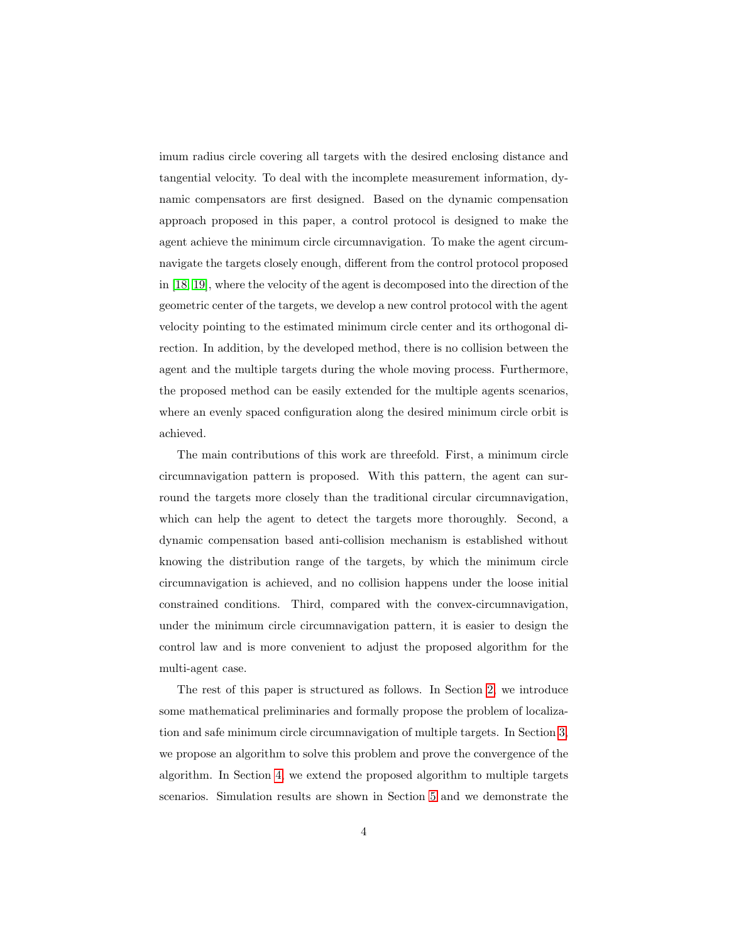imum radius circle covering all targets with the desired enclosing distance and tangential velocity. To deal with the incomplete measurement information, dynamic compensators are first designed. Based on the dynamic compensation approach proposed in this paper, a control protocol is designed to make the agent achieve the minimum circle circumnavigation. To make the agent circumnavigate the targets closely enough, different from the control protocol proposed in [\[18,](#page-28-1) [19\]](#page-28-2), where the velocity of the agent is decomposed into the direction of the geometric center of the targets, we develop a new control protocol with the agent velocity pointing to the estimated minimum circle center and its orthogonal direction. In addition, by the developed method, there is no collision between the agent and the multiple targets during the whole moving process. Furthermore, the proposed method can be easily extended for the multiple agents scenarios, where an evenly spaced configuration along the desired minimum circle orbit is achieved.

The main contributions of this work are threefold. First, a minimum circle circumnavigation pattern is proposed. With this pattern, the agent can surround the targets more closely than the traditional circular circumnavigation, which can help the agent to detect the targets more thoroughly. Second, a dynamic compensation based anti-collision mechanism is established without knowing the distribution range of the targets, by which the minimum circle circumnavigation is achieved, and no collision happens under the loose initial constrained conditions. Third, compared with the convex-circumnavigation, under the minimum circle circumnavigation pattern, it is easier to design the control law and is more convenient to adjust the proposed algorithm for the multi-agent case.

The rest of this paper is structured as follows. In Section [2,](#page-4-0) we introduce some mathematical preliminaries and formally propose the problem of localization and safe minimum circle circumnavigation of multiple targets. In Section [3,](#page-10-0) we propose an algorithm to solve this problem and prove the convergence of the algorithm. In Section [4,](#page-19-0) we extend the proposed algorithm to multiple targets scenarios. Simulation results are shown in Section [5](#page-22-0) and we demonstrate the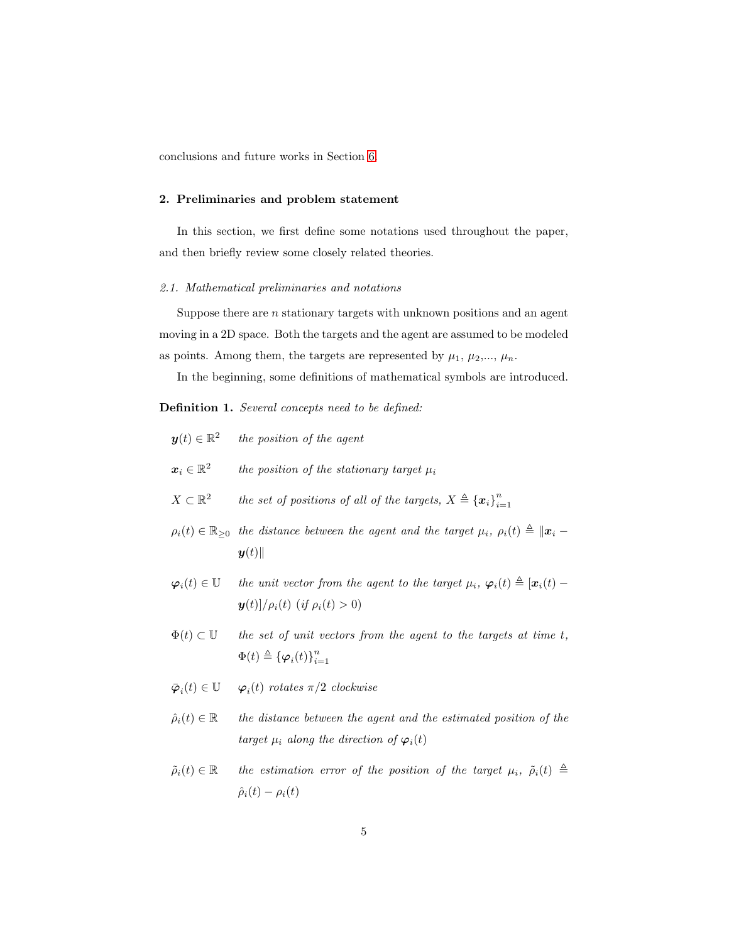conclusions and future works in Section [6.](#page-25-0)

# <span id="page-4-0"></span>2. Preliminaries and problem statement

In this section, we first define some notations used throughout the paper, and then briefly review some closely related theories.

### 2.1. Mathematical preliminaries and notations

Suppose there are  $n$  stationary targets with unknown positions and an agent moving in a 2D space. Both the targets and the agent are assumed to be modeled as points. Among them, the targets are represented by  $\mu_1, \mu_2, ..., \mu_n$ .

In the beginning, some definitions of mathematical symbols are introduced.

Definition 1. Several concepts need to be defined:

|                                            | $y(t) \in \mathbb{R}^2$ the position of the agent                                                                                                                      |
|--------------------------------------------|------------------------------------------------------------------------------------------------------------------------------------------------------------------------|
| $\boldsymbol{x}_i \in \mathbb{R}^2$        | the position of the stationary target $\mu_i$                                                                                                                          |
| $X\subset \mathbb{R}^2$                    | the set of positions of all of the targets, $X \triangleq {\{\boldsymbol{x}_i\}}_{i=1}^n$                                                                              |
|                                            | $\rho_i(t) \in \mathbb{R}_{\geq 0}$ the distance between the agent and the target $\mu_i, \rho_i(t) \triangleq   \mathbf{x}_i - \mathbf{y}_i  $<br>$\boldsymbol{y}(t)$ |
| $\boldsymbol{\varphi}_i(t) \in \mathbb{U}$ | the unit vector from the agent to the target $\mu_i$ , $\varphi_i(t) \triangleq [\boldsymbol{x}_i(t) -$<br>$y(t)/\rho_i(t)$ (if $\rho_i(t) > 0$ )                      |
| $\Phi(t) \subset \mathbb{U}$               | the set of unit vectors from the agent to the targets at time t,                                                                                                       |

- $\Phi(t) \triangleq {\{\boldsymbol{\varphi}_i(t)\}}_{i=1}^n$
- $\bar{\boldsymbol{\varphi}}_i(t) \in \mathbb{U}$   $\boldsymbol{\varphi}_i(t)$  rotates  $\pi/2$  clockwise
- $\hat{\rho}_i(t) \in \mathbb{R}$  the distance between the agent and the estimated position of the target  $\mu_i$  along the direction of  $\varphi_i(t)$
- $\tilde{\rho}_i(t) \in \mathbb{R}$  the estimation error of the position of the target  $\mu_i$ ,  $\tilde{\rho}_i(t) \triangleq$  $\hat{\rho}_i(t) - \rho_i(t)$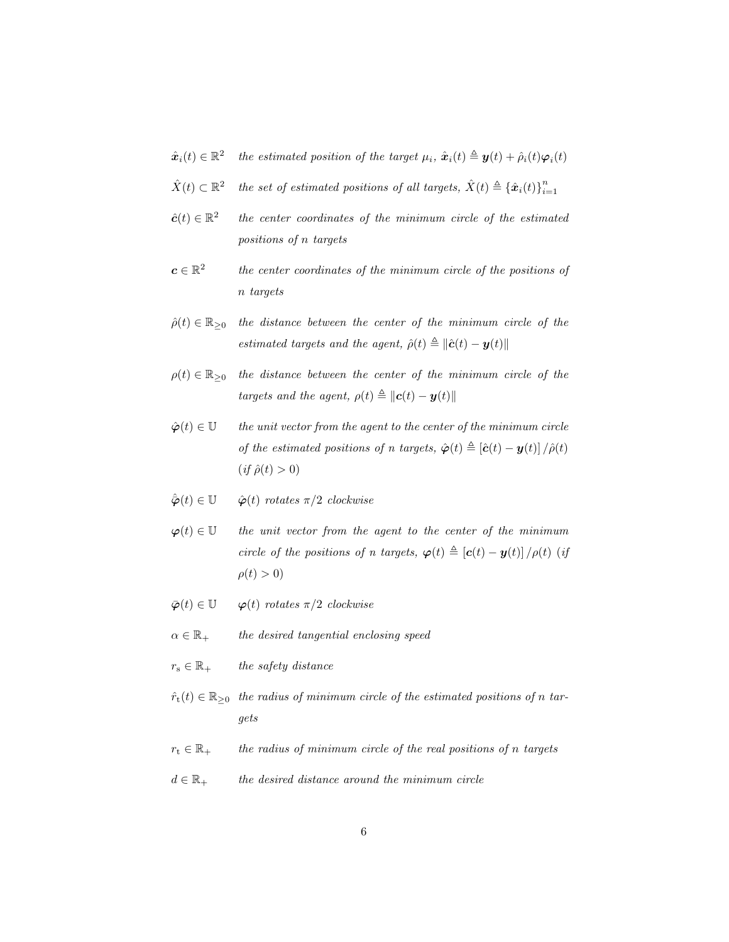- $\hat{\boldsymbol{x}}_i(t) \in \mathbb{R}^2$ the estimated position of the target  $\mu_i$ ,  $\hat{x}_i(t) \triangleq \mathbf{y}(t) + \hat{\rho}_i(t)\varphi_i(t)$
- $\hat{X}(t) \subset \mathbb{R}^2$ the set of estimated positions of all targets,  $\hat{X}(t) \triangleq {\hat{x}_i(t)}_{i=1}^n$
- $\hat{\boldsymbol{c}}(t) \in \mathbb{R}^2$ the center coordinates of the minimum circle of the estimated positions of n targets
- $\boldsymbol{c}\in\mathbb{R}^2$ the center coordinates of the minimum circle of the positions of n targets
- $\hat{\rho}(t) \in \mathbb{R}_{\geq 0}$  the distance between the center of the minimum circle of the estimated targets and the agent,  $\hat{\rho}(t) \triangleq ||\hat{\boldsymbol{c}}(t) - \boldsymbol{y}(t)||$
- $\rho(t) \in \mathbb{R}_{\geq 0}$  the distance between the center of the minimum circle of the targets and the agent,  $\rho(t) \triangleq ||\mathbf{c}(t) - \mathbf{y}(t)||$
- $\hat{\varphi}(t) \in \mathbb{U}$  the unit vector from the agent to the center of the minimum circle of the estimated positions of n targets,  $\hat{\varphi}(t) \triangleq [\hat{\mathbf{c}}(t) - \mathbf{y}(t)] / \hat{\rho}(t)$  $(if \hat{\rho}(t) > 0)$
- $\hat{\varphi}(t) \in \mathbb{U}$   $\hat{\varphi}(t)$  rotates  $\pi/2$  clockwise
- $\varphi(t) \in \mathbb{U}$  the unit vector from the agent to the center of the minimum circle of the positions of n targets,  $\varphi(t) \triangleq [\mathbf{c}(t) - \mathbf{y}(t)] / \rho(t)$  (if  $\rho(t) > 0$
- $\bar{\varphi}(t) \in \mathbb{U}$   $\varphi(t)$  rotates  $\pi/2$  clockwise
- $\alpha \in \mathbb{R}_+$  the desired tangential enclosing speed
- $r_{\rm s} \in \mathbb{R}_+$  the safety distance
- $\hat{r}_t(t) \in \mathbb{R}_{\geq 0}$  the radius of minimum circle of the estimated positions of n targets
- $r_t \in \mathbb{R}_+$  the radius of minimum circle of the real positions of n targets
- $d \in \mathbb{R}_+$  the desired distance around the minimum circle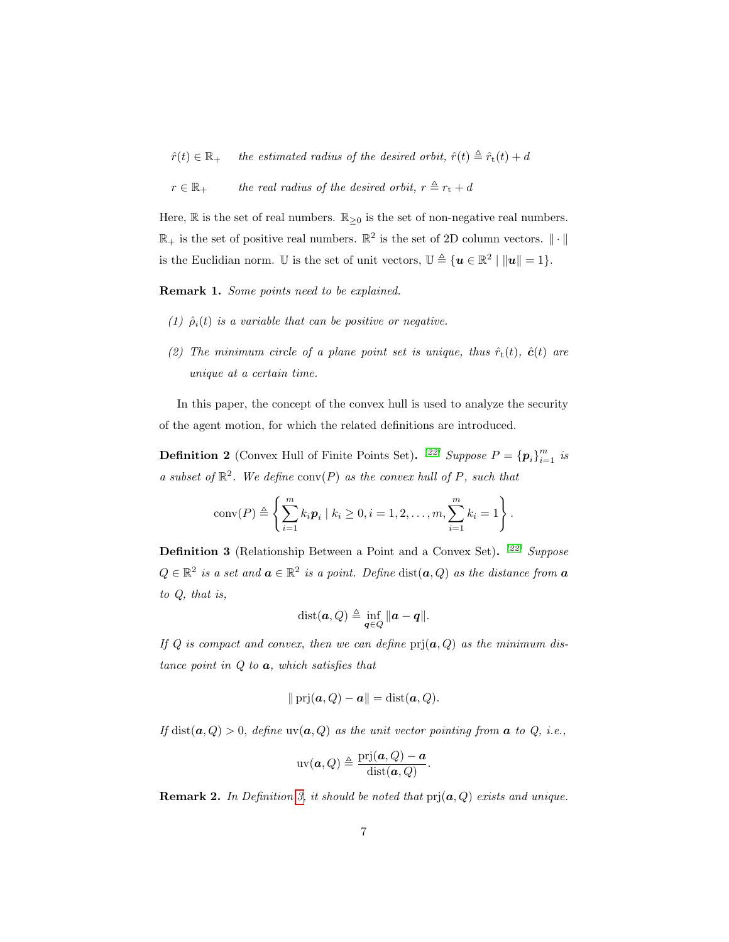$\hat{r}(t) \in \mathbb{R}_+$  the estimated radius of the desired orbit,  $\hat{r}(t) \triangleq \hat{r}_t(t) + d$ 

 $r \in \mathbb{R}_+$  the real radius of the desired orbit,  $r \triangleq r_t + d$ 

Here,  $\mathbb R$  is the set of real numbers.  $\mathbb R_{\geq 0}$  is the set of non-negative real numbers.  $\mathbb{R}_+$  is the set of positive real numbers.  $\mathbb{R}^2$  is the set of 2D column vectors.  $\|\cdot\|$ is the Euclidian norm. U is the set of unit vectors,  $\mathbb{U} \triangleq \{ \mathbf{u} \in \mathbb{R}^2 \mid ||\mathbf{u}|| = 1 \}.$ 

Remark 1. Some points need to be explained.

- (1)  $\hat{\rho}_i(t)$  is a variable that can be positive or negative.
- (2) The minimum circle of a plane point set is unique, thus  $\hat{r}_t(t)$ ,  $\hat{c}(t)$  are unique at a certain time.

In this paper, the concept of the convex hull is used to analyze the security of the agent motion, for which the related definitions are introduced.

**Definition 2** (Convex Hull of Finite Points Set). <sup>[\[22\]](#page-28-5)</sup> Suppose  $P = {\{p_i\}}_{i=1}^m$  is a subset of  $\mathbb{R}^2$ . We define conv(P) as the convex hull of P, such that

conv(P) 
$$
\triangleq \left\{ \sum_{i=1}^{m} k_i \mathbf{p}_i \mid k_i \geq 0, i = 1, 2, ..., m, \sum_{i=1}^{m} k_i = 1 \right\}.
$$

<span id="page-6-0"></span>**Definition 3** (Relationship Between a Point and a Convex Set). <sup>[\[22\]](#page-28-5)</sup> Suppose  $Q \in \mathbb{R}^2$  is a set and  $\boldsymbol{a} \in \mathbb{R}^2$  is a point. Define  $dist(\boldsymbol{a}, Q)$  as the distance from  $\boldsymbol{a}$ to Q, that is,

$$
\text{dist}(\boldsymbol{a},Q) \triangleq \inf_{\boldsymbol{q}\in Q} \|\boldsymbol{a}-\boldsymbol{q}\|.
$$

If Q is compact and convex, then we can define  $\text{prj}(a, Q)$  as the minimum distance point in  $Q$  to  $a$ , which satisfies that

$$
\|\operatorname{prj}(\boldsymbol{a},Q)-\boldsymbol{a}\|=\operatorname{dist}(\boldsymbol{a},Q).
$$

If dist( $a, Q$ ) > 0, define uv( $a, Q$ ) as the unit vector pointing from  $a$  to  $Q$ , i.e.,

$$
uv(\mathbf{a},Q) \triangleq \frac{pri(\mathbf{a},Q) - \mathbf{a}}{dist(\mathbf{a},Q)}.
$$

**Remark 2.** In Definition [3,](#page-6-0) it should be noted that  $\text{pri}(\boldsymbol{a}, Q)$  exists and unique.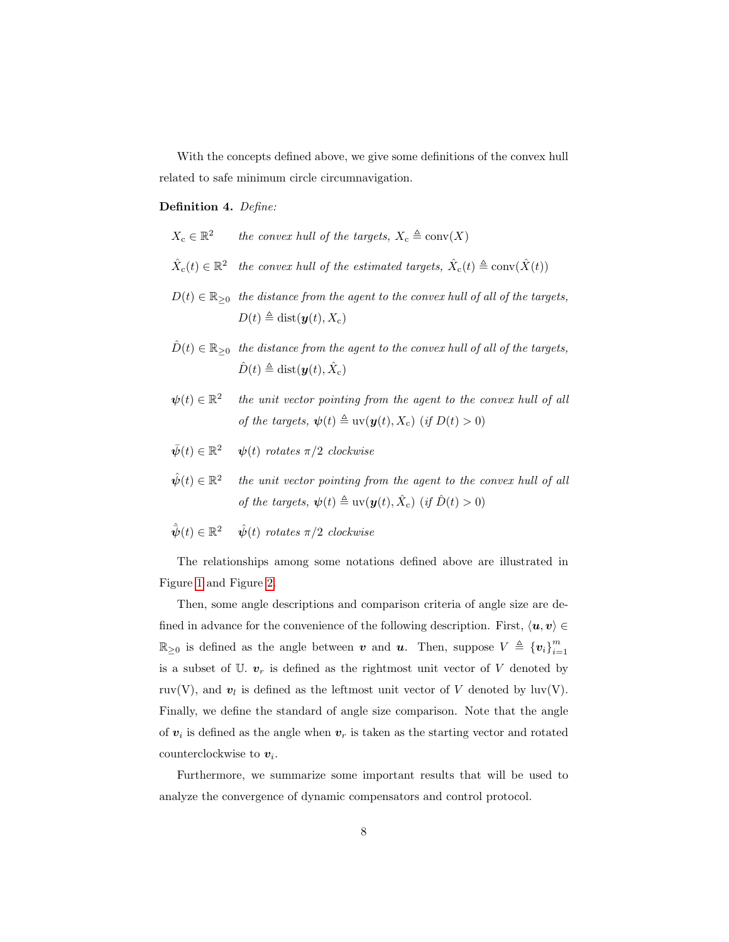With the concepts defined above, we give some definitions of the convex hull related to safe minimum circle circumnavigation.

#### Definition 4. Define:

- $X_{\mathrm{c}} \in \mathbb{R}^2$ the convex hull of the targets,  $X_c \triangleq \text{conv}(X)$
- $\hat{X}_{\text{c}}(t) \in \mathbb{R}^2$  the convex hull of the estimated targets,  $\hat{X}_{\text{c}}(t) \triangleq \text{conv}(\hat{X}(t))$
- $D(t) \in \mathbb{R}_{\geq 0}$  the distance from the agent to the convex hull of all of the targets,  $D(t) \triangleq \text{dist}(\boldsymbol{y}(t), X_c)$
- $\hat{D}(t) \in \mathbb{R}_{\geq 0}$  the distance from the agent to the convex hull of all of the targets,  $\hat{D}(t) \triangleq \text{dist}(\boldsymbol{y}(t), \hat{X}_{c})$
- $\psi(t) \in \mathbb{R}^2$  the unit vector pointing from the agent to the convex hull of all of the targets,  $\psi(t) \triangleq uv(\boldsymbol{y}(t), X_c)$  (if  $D(t) > 0$ )
- $\bar{\psi}(t) \in \mathbb{R}^2$   $\psi(t)$  rotates  $\pi/2$  clockwise
- $\hat{\boldsymbol{\psi}}(t) \in \mathbb{R}^2$ the unit vector pointing from the agent to the convex hull of all of the targets,  $\psi(t) \triangleq \text{uv}(\boldsymbol{y}(t), \hat{X}_c)$  (if  $\hat{D}(t) > 0$ )
- $\hat{\bar{\boldsymbol{\psi}}}(t) \in \mathbb{R}$  $\hat{\psi}(t)$  rotates  $\pi/2$  clockwise

The relationships among some notations defined above are illustrated in Figure [1](#page-8-0) and Figure [2.](#page-8-1)

Then, some angle descriptions and comparison criteria of angle size are defined in advance for the convenience of the following description. First,  $\langle u, v \rangle \in$  $\mathbb{R}_{\geq 0}$  is defined as the angle between v and u. Then, suppose  $V \triangleq \{v_i\}_{i=1}^m$ is a subset of  $\mathbb{U}$ .  $v_r$  is defined as the rightmost unit vector of V denoted by ruv(V), and  $v_l$  is defined as the leftmost unit vector of V denoted by luv(V). Finally, we define the standard of angle size comparison. Note that the angle of  $v_i$  is defined as the angle when  $v_r$  is taken as the starting vector and rotated counterclockwise to  $v_i$ .

Furthermore, we summarize some important results that will be used to analyze the convergence of dynamic compensators and control protocol.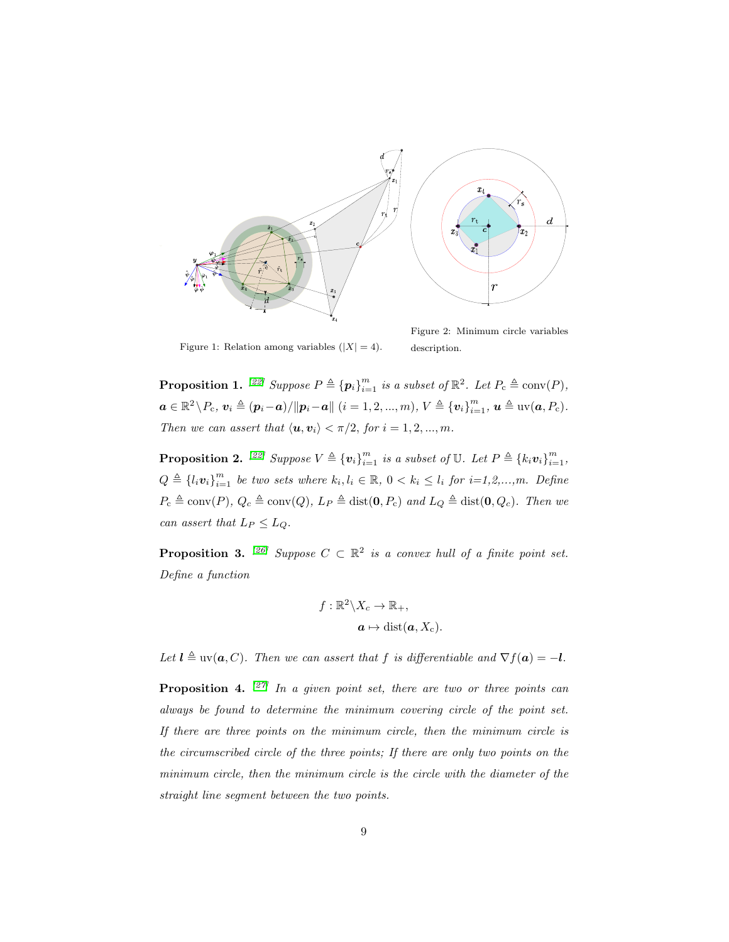

<span id="page-8-0"></span>Figure 1: Relation among variables  $(|X| = 4)$ .

<span id="page-8-1"></span>Figure 2: Minimum circle variables description.

<span id="page-8-3"></span>**Proposition 1.** <sup>[\[22\]](#page-28-5)</sup> Suppose  $P \triangleq {\{\boldsymbol{p}_i\}}_{i=1}^m$  is a subset of  $\mathbb{R}^2$ . Let  $P_c \triangleq \text{conv}(P)$ ,  $a \in \mathbb{R}^2 \setminus P_c, v_i \triangleq (p_i - a) / ||p_i - a||$   $(i = 1, 2, ..., m)$ ,  $V \triangleq \{v_i\}_{i=1}^m$ ,  $u \triangleq \text{uv}(a, P_c)$ . Then we can assert that  $\langle \mathbf{u}, \mathbf{v}_i \rangle < \pi/2$ , for  $i = 1, 2, ..., m$ .

<span id="page-8-4"></span>**Proposition 2.** <sup>[\[22\]](#page-28-5)</sup> Suppose  $V \triangleq {\{\mathbf{v}_i\}}_{i=1}^m$  is a subset of  $\mathbb{U}$ . Let  $P \triangleq {\{k_i\mathbf{v}_i\}}_{i=1}^m$ ,  $Q \triangleq \{l_i v_i\}_{i=1}^m$  be two sets where  $k_i, l_i \in \mathbb{R}$ ,  $0 < k_i \leq l_i$  for  $i=1,2,...,m$ . Define  $P_c \triangleq \text{conv}(P), Q_c \triangleq \text{conv}(Q), L_P \triangleq \text{dist}(\mathbf{0}, P_c)$  and  $L_Q \triangleq \text{dist}(\mathbf{0}, Q_c)$ . Then we can assert that  $L_P \leq L_Q$ .

<span id="page-8-5"></span>**Proposition 3.** <sup>[\[26\]](#page-29-0)</sup> Suppose  $C \subset \mathbb{R}^2$  is a convex hull of a finite point set. Define a function

$$
f: \mathbb{R}^2 \backslash X_c \to \mathbb{R}_+,
$$

$$
\mathbf{a} \mapsto \text{dist}(\mathbf{a}, X_c).
$$

Let  $l \triangleq uv(a, C)$ . Then we can assert that f is differentiable and  $\nabla f(a) = -l$ .

<span id="page-8-2"></span>**Proposition 4.**  $[27]$  In a given point set, there are two or three points can always be found to determine the minimum covering circle of the point set. If there are three points on the minimum circle, then the minimum circle is the circumscribed circle of the three points; If there are only two points on the minimum circle, then the minimum circle is the circle with the diameter of the straight line segment between the two points.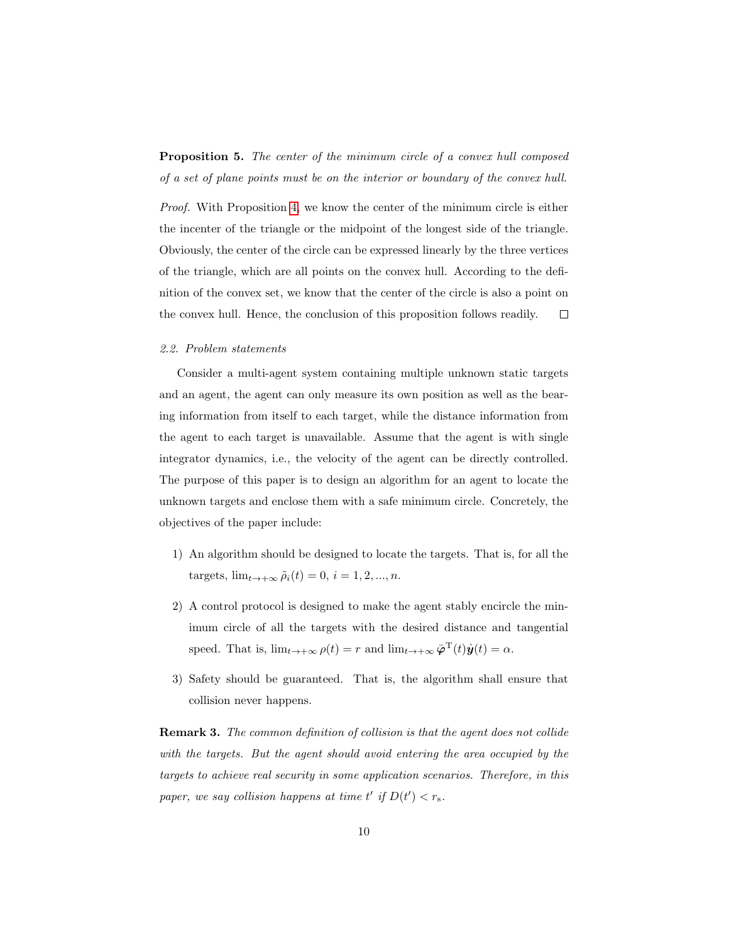# <span id="page-9-0"></span>Proposition 5. The center of the minimum circle of a convex hull composed of a set of plane points must be on the interior or boundary of the convex hull.

Proof. With Proposition [4,](#page-8-2) we know the center of the minimum circle is either the incenter of the triangle or the midpoint of the longest side of the triangle. Obviously, the center of the circle can be expressed linearly by the three vertices of the triangle, which are all points on the convex hull. According to the definition of the convex set, we know that the center of the circle is also a point on the convex hull. Hence, the conclusion of this proposition follows readily.  $\Box$ 

#### 2.2. Problem statements

Consider a multi-agent system containing multiple unknown static targets and an agent, the agent can only measure its own position as well as the bearing information from itself to each target, while the distance information from the agent to each target is unavailable. Assume that the agent is with single integrator dynamics, i.e., the velocity of the agent can be directly controlled. The purpose of this paper is to design an algorithm for an agent to locate the unknown targets and enclose them with a safe minimum circle. Concretely, the objectives of the paper include:

- 1) An algorithm should be designed to locate the targets. That is, for all the targets,  $\lim_{t\to+\infty} \tilde{\rho}_i(t) = 0, i = 1, 2, ..., n$ .
- 2) A control protocol is designed to make the agent stably encircle the minimum circle of all the targets with the desired distance and tangential speed. That is,  $\lim_{t \to +\infty} \rho(t) = r$  and  $\lim_{t \to +\infty} \bar{\varphi}^{\mathrm{T}}(t)\dot{y}(t) = \alpha$ .
- 3) Safety should be guaranteed. That is, the algorithm shall ensure that collision never happens.

Remark 3. The common definition of collision is that the agent does not collide with the targets. But the agent should avoid entering the area occupied by the targets to achieve real security in some application scenarios. Therefore, in this paper, we say collision happens at time  $t'$  if  $D(t') < r_s$ .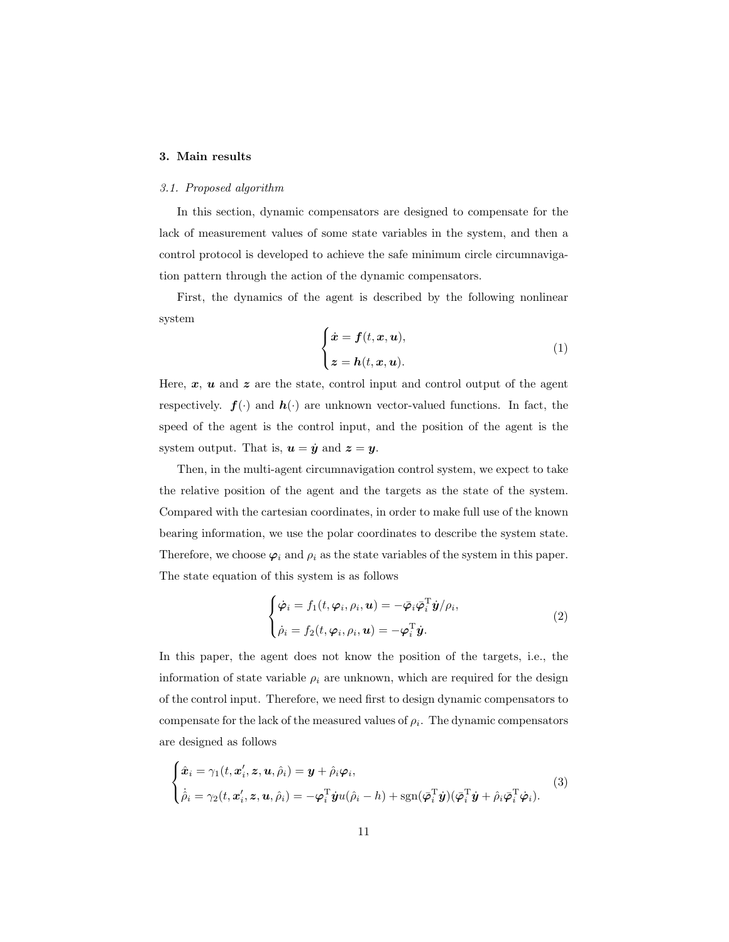# <span id="page-10-0"></span>3. Main results

### 3.1. Proposed algorithm

In this section, dynamic compensators are designed to compensate for the lack of measurement values of some state variables in the system, and then a control protocol is developed to achieve the safe minimum circle circumnavigation pattern through the action of the dynamic compensators.

First, the dynamics of the agent is described by the following nonlinear system

$$
\begin{cases}\n\dot{x} = f(t, x, u), \\
z = h(t, x, u).\n\end{cases}
$$
\n(1)

Here,  $x$ ,  $u$  and  $z$  are the state, control input and control output of the agent respectively.  $f(\cdot)$  and  $h(\cdot)$  are unknown vector-valued functions. In fact, the speed of the agent is the control input, and the position of the agent is the system output. That is,  $u = \dot{y}$  and  $z = y$ .

Then, in the multi-agent circumnavigation control system, we expect to take the relative position of the agent and the targets as the state of the system. Compared with the cartesian coordinates, in order to make full use of the known bearing information, we use the polar coordinates to describe the system state. Therefore, we choose  $\varphi_i$  and  $\rho_i$  as the state variables of the system in this paper. The state equation of this system is as follows

$$
\begin{cases}\n\dot{\varphi}_i = f_1(t, \varphi_i, \rho_i, \mathbf{u}) = -\bar{\varphi}_i \bar{\varphi}_i^{\mathrm{T}} \dot{\mathbf{y}} / \rho_i, \\
\dot{\rho}_i = f_2(t, \varphi_i, \rho_i, \mathbf{u}) = -\varphi_i^{\mathrm{T}} \dot{\mathbf{y}}.\n\end{cases}
$$
\n(2)

In this paper, the agent does not know the position of the targets, i.e., the information of state variable  $\rho_i$  are unknown, which are required for the design of the control input. Therefore, we need first to design dynamic compensators to compensate for the lack of the measured values of  $\rho_i$ . The dynamic compensators are designed as follows

<span id="page-10-1"></span>
$$
\begin{cases}\n\hat{\boldsymbol{x}}_i = \gamma_1(t, \boldsymbol{x}'_i, \boldsymbol{z}, \boldsymbol{u}, \hat{\rho}_i) = \boldsymbol{y} + \hat{\rho}_i \boldsymbol{\varphi}_i, \\
\dot{\hat{\rho}}_i = \gamma_2(t, \boldsymbol{x}'_i, \boldsymbol{z}, \boldsymbol{u}, \hat{\rho}_i) = -\boldsymbol{\varphi}_i^{\mathrm{T}} \boldsymbol{\dot{y}} u(\hat{\rho}_i - h) + \text{sgn}(\boldsymbol{\bar{\varphi}}_i^{\mathrm{T}} \boldsymbol{\dot{y}}) (\boldsymbol{\bar{\varphi}}_i^{\mathrm{T}} \boldsymbol{\dot{y}} + \hat{\rho}_i \boldsymbol{\bar{\varphi}}_i^{\mathrm{T}} \boldsymbol{\dot{\varphi}}_i).\n\end{cases}
$$
\n(3)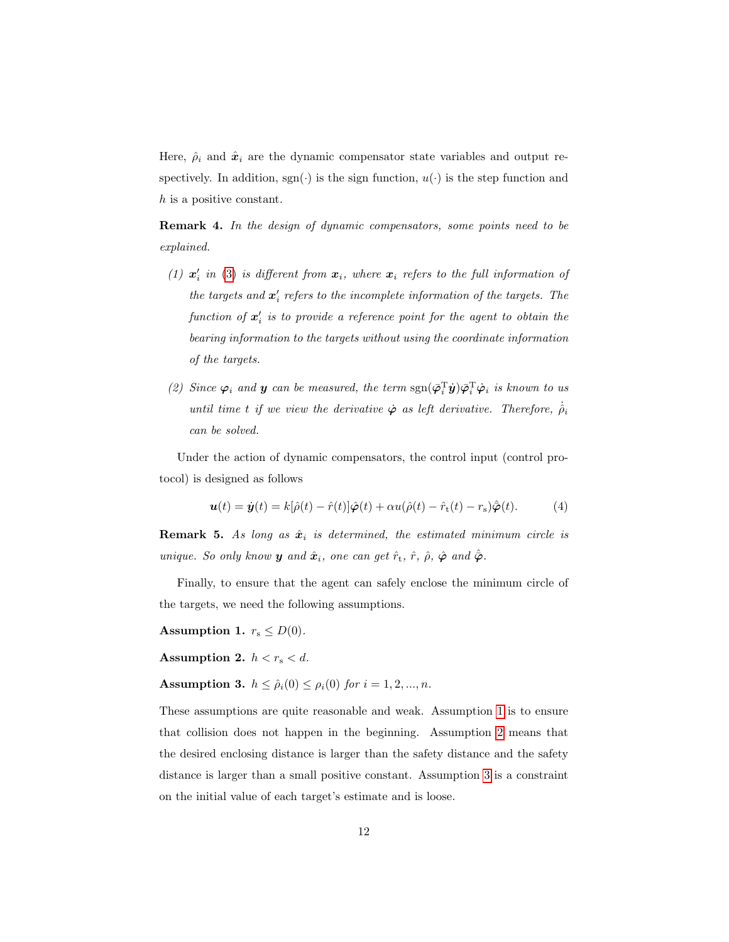Here,  $\hat{\rho}_i$  and  $\hat{x}_i$  are the dynamic compensator state variables and output respectively. In addition,  $sgn(\cdot)$  is the sign function,  $u(\cdot)$  is the step function and h is a positive constant.

**Remark 4.** In the design of dynamic compensators, some points need to be explained.

- (1)  $x_i'$  in [\(3\)](#page-10-1) is different from  $x_i$ , where  $x_i$  refers to the full information of the targets and  $\mathbf{x}'_i$  refers to the incomplete information of the targets. The function of  $x_i'$  is to provide a reference point for the agent to obtain the bearing information to the targets without using the coordinate information of the targets.
- (2) Since  $\varphi_i$  and **y** can be measured, the term  $sgn(\bar{\varphi}_i^T \dot{y}) \bar{\varphi}_i^T \dot{\varphi}_i$  is known to us until time t if we view the derivative  $\dot{\varphi}$  as left derivative. Therefore,  $\dot{\rho}_i$ can be solved.

Under the action of dynamic compensators, the control input (control protocol) is designed as follows

<span id="page-11-3"></span>
$$
\mathbf{u}(t) = \dot{\mathbf{y}}(t) = k[\hat{\rho}(t) - \hat{r}(t)]\hat{\boldsymbol{\varphi}}(t) + \alpha u(\hat{\rho}(t) - \hat{r}_t(t) - r_s)\hat{\boldsymbol{\varphi}}(t). \tag{4}
$$

**Remark 5.** As long as  $\hat{x}_i$  is determined, the estimated minimum circle is unique. So only know **y** and  $\hat{x}_i$ , one can get  $\hat{r}_t$ ,  $\hat{r}$ ,  $\hat{\rho}$ ,  $\hat{\varphi}$  and  $\hat{\bar{\varphi}}$ .

Finally, to ensure that the agent can safely enclose the minimum circle of the targets, we need the following assumptions.

<span id="page-11-0"></span>Assumption 1.  $r_s \leq D(0)$ .

<span id="page-11-1"></span>Assumption 2.  $h < r_s < d$ .

<span id="page-11-2"></span>**Assumption 3.**  $h \leq \hat{\rho}_i(0) \leq \rho_i(0)$  for  $i = 1, 2, ..., n$ .

These assumptions are quite reasonable and weak. Assumption [1](#page-11-0) is to ensure that collision does not happen in the beginning. Assumption [2](#page-11-1) means that the desired enclosing distance is larger than the safety distance and the safety distance is larger than a small positive constant. Assumption [3](#page-11-2) is a constraint on the initial value of each target's estimate and is loose.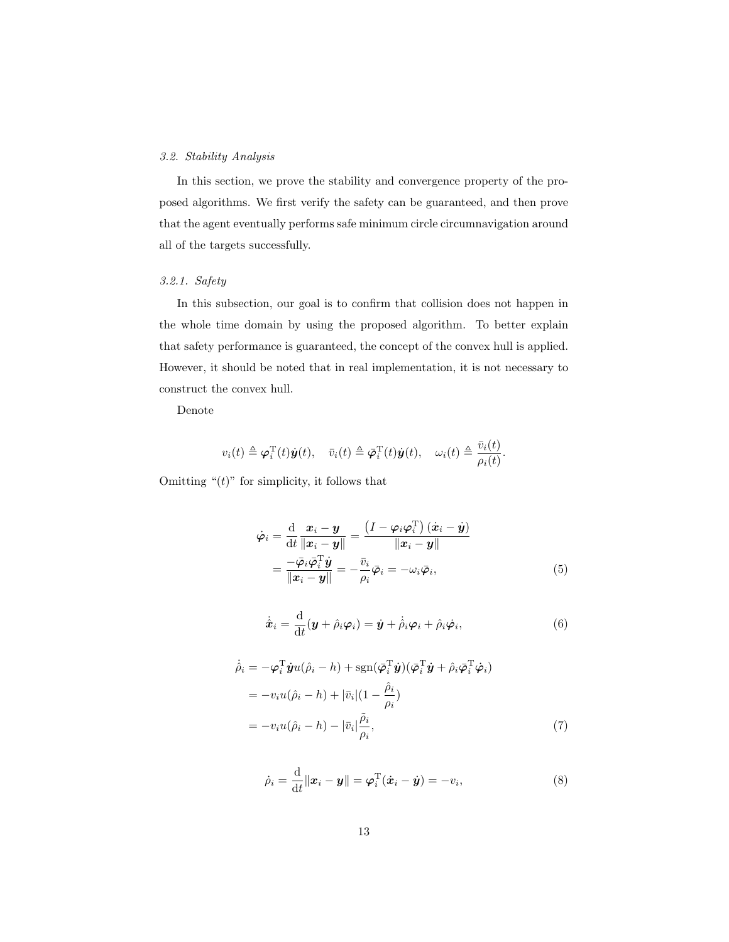# 3.2. Stability Analysis

In this section, we prove the stability and convergence property of the proposed algorithms. We first verify the safety can be guaranteed, and then prove that the agent eventually performs safe minimum circle circumnavigation around all of the targets successfully.

# 3.2.1. Safety

In this subsection, our goal is to confirm that collision does not happen in the whole time domain by using the proposed algorithm. To better explain that safety performance is guaranteed, the concept of the convex hull is applied. However, it should be noted that in real implementation, it is not necessary to construct the convex hull.

Denote

$$
v_i(t) \triangleq \boldsymbol{\varphi}_i^{\mathrm{T}}(t)\dot{\boldsymbol{y}}(t), \quad \bar{v}_i(t) \triangleq \bar{\boldsymbol{\varphi}}_i^{\mathrm{T}}(t)\dot{\boldsymbol{y}}(t), \quad \omega_i(t) \triangleq \frac{\bar{v}_i(t)}{\rho_i(t)}.
$$

Omitting " $(t)$ " for simplicity, it follows that

$$
\dot{\varphi}_i = \frac{\mathrm{d}}{\mathrm{d}t} \frac{x_i - y}{\|x_i - y\|} = \frac{\left(I - \varphi_i \varphi_i^{\mathrm{T}}\right)(\dot{x}_i - \dot{y})}{\|x_i - y\|} \n= \frac{-\bar{\varphi}_i \bar{\varphi}_i^{\mathrm{T}} \dot{y}}{\|x_i - y\|} = -\frac{\bar{v}_i}{\rho_i} \bar{\varphi}_i = -\omega_i \bar{\varphi}_i,
$$
\n(5)

<span id="page-12-1"></span>
$$
\dot{\hat{\boldsymbol{x}}}_i = \frac{\mathrm{d}}{\mathrm{d}t}(\boldsymbol{y} + \hat{\rho}_i \boldsymbol{\varphi}_i) = \dot{\boldsymbol{y}} + \dot{\hat{\rho}}_i \boldsymbol{\varphi}_i + \hat{\rho}_i \dot{\boldsymbol{\varphi}}_i,\tag{6}
$$

$$
\hat{\rho}_i = -\boldsymbol{\varphi}_i^{\mathrm{T}} \boldsymbol{\dot{y}} u(\hat{\rho}_i - h) + \mathrm{sgn}(\boldsymbol{\bar{\varphi}}_i^{\mathrm{T}} \boldsymbol{\dot{y}}) (\boldsymbol{\bar{\varphi}}_i^{\mathrm{T}} \boldsymbol{\dot{y}} + \hat{\rho}_i \boldsymbol{\bar{\varphi}}_i^{\mathrm{T}} \boldsymbol{\dot{\varphi}}_i)
$$
\n
$$
= -v_i u(\hat{\rho}_i - h) + |\bar{v}_i| (1 - \frac{\hat{\rho}_i}{\rho_i})
$$
\n
$$
= -v_i u(\hat{\rho}_i - h) - |\bar{v}_i| \frac{\tilde{\rho}_i}{\rho_i}, \tag{7}
$$

<span id="page-12-0"></span>
$$
\dot{\rho}_i = \frac{\mathrm{d}}{\mathrm{d}t} ||\boldsymbol{x}_i - \boldsymbol{y}|| = \boldsymbol{\varphi}_i^{\mathrm{T}} (\dot{\boldsymbol{x}}_i - \dot{\boldsymbol{y}}) = -v_i,
$$
\n(8)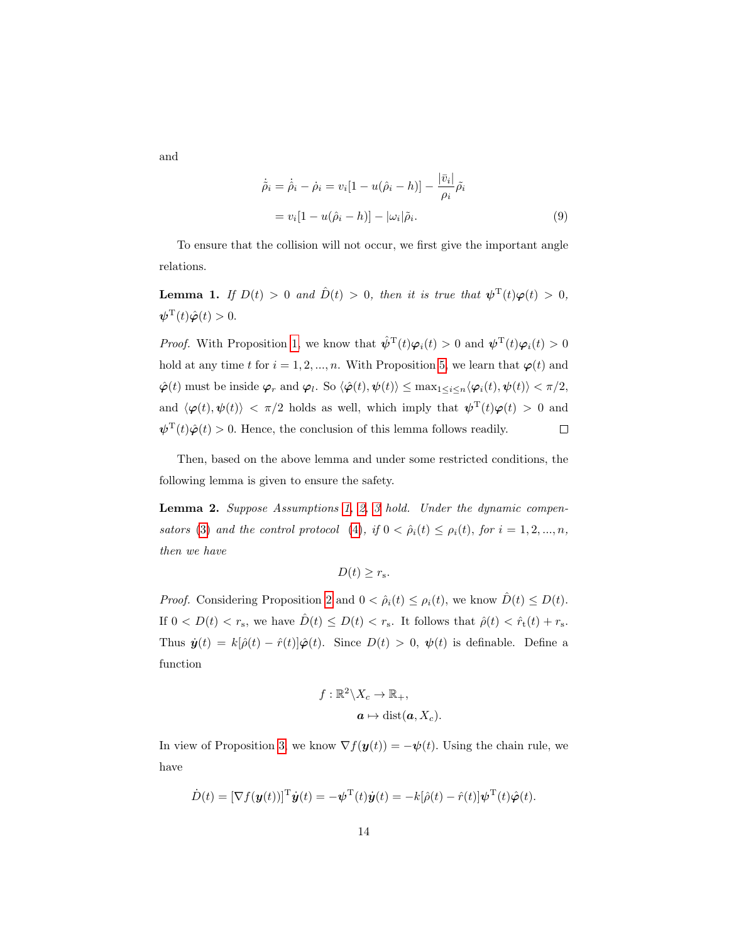and

<span id="page-13-2"></span>
$$
\dot{\tilde{\rho}}_i = \dot{\tilde{\rho}}_i - \dot{\rho}_i = v_i [1 - u(\hat{\rho}_i - h)] - \frac{|\bar{v}_i|}{\rho_i} \tilde{\rho}_i
$$
  
=  $v_i [1 - u(\hat{\rho}_i - h)] - |\omega_i| \tilde{\rho}_i.$  (9)

To ensure that the collision will not occur, we first give the important angle relations.

<span id="page-13-0"></span>**Lemma 1.** If  $D(t) > 0$  and  $\hat{D}(t) > 0$ , then it is true that  $\psi^{\mathrm{T}}(t)\varphi(t) > 0$ ,  $\boldsymbol{\psi}^{\mathrm{T}}(t)\hat{\boldsymbol{\varphi}}(t) > 0.$ 

*Proof.* With Proposition [1,](#page-8-3) we know that  $\hat{\psi}^{T}(t)\varphi_{i}(t) > 0$  and  $\psi^{T}(t)\varphi_{i}(t) > 0$ hold at any time t for  $i = 1, 2, ..., n$ . With Proposition [5,](#page-9-0) we learn that  $\varphi(t)$  and  $\hat{\boldsymbol{\varphi}}(t)$  must be inside  $\boldsymbol{\varphi}_r$  and  $\boldsymbol{\varphi}_l$ . So  $\langle \hat{\boldsymbol{\varphi}}(t), \boldsymbol{\psi}(t) \rangle \leq \max_{1 \leq i \leq n} \langle \boldsymbol{\varphi}_i(t), \boldsymbol{\psi}(t) \rangle < \pi/2$ , and  $\langle \varphi(t), \psi(t) \rangle$  <  $\pi/2$  holds as well, which imply that  $\psi^{\mathrm{T}}(t)\varphi(t) > 0$  and  $\psi^{\mathrm{T}}(t)\hat{\varphi}(t) > 0$ . Hence, the conclusion of this lemma follows readily.  $\Box$ 

Then, based on the above lemma and under some restricted conditions, the following lemma is given to ensure the safety.

<span id="page-13-1"></span>Lemma 2. Suppose Assumptions [1,](#page-11-0) [2,](#page-11-1) [3](#page-11-2) hold. Under the dynamic compen-sators [\(3\)](#page-10-1) and the control protocol [\(4\)](#page-11-3), if  $0 < \hat{\rho}_i(t) \leq \rho_i(t)$ , for  $i = 1, 2, ..., n$ , then we have

$$
D(t) \geq r_{\rm s}.
$$

*Proof.* Considering Proposition [2](#page-8-4) and  $0 < \hat{\rho}_i(t) \leq \rho_i(t)$ , we know  $\hat{D}(t) \leq D(t)$ . If  $0 < D(t) < r_s$ , we have  $\hat{D}(t) \le D(t) < r_s$ . It follows that  $\hat{\rho}(t) < \hat{r}_t(t) + r_s$ . Thus  $\dot{\mathbf{y}}(t) = k[\hat{\rho}(t) - \hat{r}(t)]\hat{\boldsymbol{\varphi}}(t)$ . Since  $D(t) > 0$ ,  $\boldsymbol{\psi}(t)$  is definable. Define a function

$$
f: \mathbb{R}^2 \backslash X_c \to \mathbb{R}_+,
$$

$$
\mathbf{a} \mapsto \text{dist}(\mathbf{a}, X_c).
$$

In view of Proposition [3,](#page-8-5) we know  $\nabla f(\mathbf{y}(t)) = -\psi(t)$ . Using the chain rule, we have

$$
\dot{D}(t) = [\nabla f(\boldsymbol{y}(t))]^{\mathrm{T}} \dot{\boldsymbol{y}}(t) = -\boldsymbol{\psi}^{\mathrm{T}}(t) \dot{\boldsymbol{y}}(t) = -k[\hat{\rho}(t) - \hat{r}(t)] \boldsymbol{\psi}^{\mathrm{T}}(t) \hat{\boldsymbol{\varphi}}(t).
$$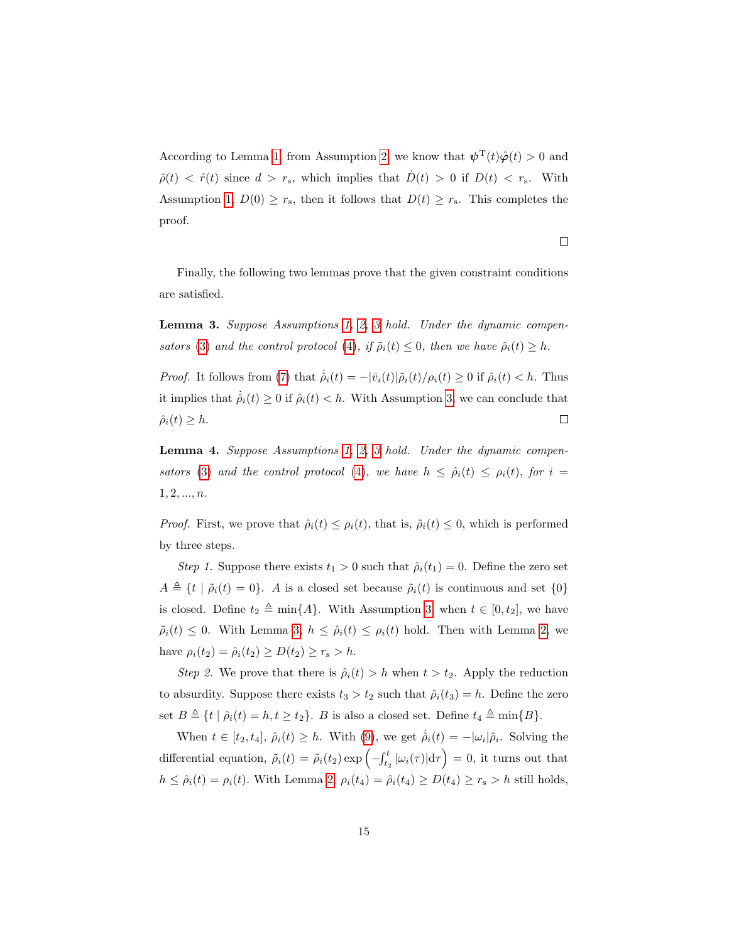According to Lemma [1,](#page-13-0) from Assumption [2,](#page-11-1) we know that  $\psi^{\mathrm{T}}(t)\hat{\varphi}(t) > 0$  and  $\hat{\rho}(t) < \hat{r}(t)$  since  $d > r_s$ , which implies that  $\dot{D}(t) > 0$  if  $D(t) < r_s$ . With Assumption [1,](#page-11-0)  $D(0) \ge r_s$ , then it follows that  $D(t) \ge r_s$ . This completes the proof.

 $\Box$ 

Finally, the following two lemmas prove that the given constraint conditions are satisfied.

<span id="page-14-0"></span>Lemma 3. Suppose Assumptions [1,](#page-11-0) [2,](#page-11-1) [3](#page-11-2) hold. Under the dynamic compen-sators [\(3\)](#page-10-1) and the control protocol [\(4\)](#page-11-3), if  $\tilde{\rho}_i(t) \leq 0$ , then we have  $\hat{\rho}_i(t) \geq h$ .

*Proof.* It follows from [\(7\)](#page-12-0) that  $\dot{\hat{\rho}}_i(t) = -\frac{\partial \bar{v}_i(t)}{\partial i(t)} / \rho_i(t) \geq 0$  if  $\hat{\rho}_i(t) < h$ . Thus it implies that  $\dot{\rho}_i(t) \geq 0$  if  $\dot{\rho}_i(t) < h$ . With Assumption [3,](#page-11-2) we can conclude that  $\hat{\rho}_i(t) \geq h.$  $\Box$ 

<span id="page-14-1"></span>Lemma 4. Suppose Assumptions [1,](#page-11-0) [2,](#page-11-1) [3](#page-11-2) hold. Under the dynamic compen-sators [\(3\)](#page-10-1) and the control protocol [\(4\)](#page-11-3), we have  $h \leq \hat{\rho}_i(t) \leq \rho_i(t)$ , for  $i =$  $1, 2, ..., n$ .

*Proof.* First, we prove that  $\hat{\rho}_i(t) \leq \rho_i(t)$ , that is,  $\tilde{\rho}_i(t) \leq 0$ , which is performed by three steps.

Step 1. Suppose there exists  $t_1 > 0$  such that  $\tilde{\rho}_i(t_1) = 0$ . Define the zero set  $A \triangleq \{t | \tilde{\rho}_i(t) = 0\}.$  A is a closed set because  $\tilde{\rho}_i(t)$  is continuous and set  $\{0\}$ is closed. Define  $t_2 \triangleq \min\{A\}$ . With Assumption [3,](#page-11-2) when  $t \in [0, t_2]$ , we have  $\tilde{\rho}_i(t) \leq 0$ . With Lemma [3,](#page-14-0)  $h \leq \hat{\rho}_i(t) \leq \rho_i(t)$  hold. Then with Lemma [2,](#page-13-1) we have  $\rho_i(t_2) = \hat{\rho}_i(t_2) \ge D(t_2) \ge r_s > h$ .

Step 2. We prove that there is  $\hat{\rho}_i(t) > h$  when  $t > t_2$ . Apply the reduction to absurdity. Suppose there exists  $t_3 > t_2$  such that  $\hat{\rho}_i(t_3) = h$ . Define the zero set  $B \triangleq \{t | \hat{\rho}_i(t) = h, t \geq t_2\}$ . B is also a closed set. Define  $t_4 \triangleq \min\{B\}$ .

When  $t \in [t_2, t_4]$ ,  $\hat{\rho}_i(t) \geq h$ . With [\(9\)](#page-13-2), we get  $\dot{\tilde{\rho}}_i(t) = -|\omega_i| \tilde{\rho}_i$ . Solving the differential equation,  $\tilde{\rho}_i(t) = \tilde{\rho}_i(t_2) \exp\left(-\int_{t_2}^t |\omega_i(\tau)| d\tau\right) = 0$ , it turns out that  $h \leq \hat{\rho}_i(t) = \rho_i(t)$ . With Lemma [2,](#page-13-1)  $\rho_i(t_4) = \hat{\rho}_i(t_4) \geq D(t_4) \geq r_s > h$  still holds,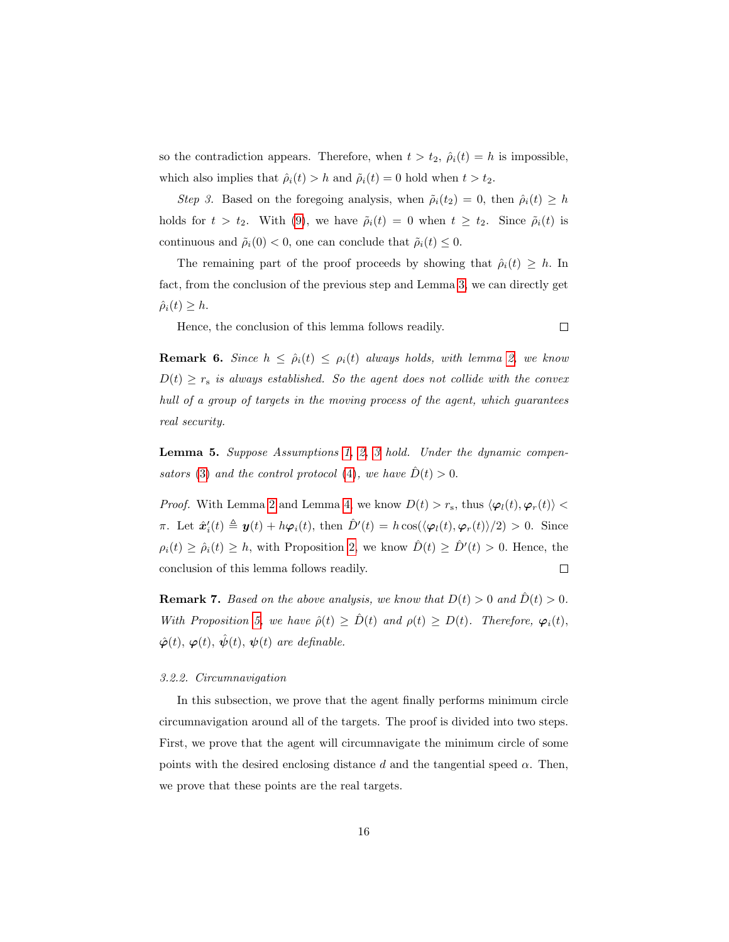so the contradiction appears. Therefore, when  $t > t_2$ ,  $\hat{\rho}_i(t) = h$  is impossible, which also implies that  $\hat{\rho}_i(t) > h$  and  $\tilde{\rho}_i(t) = 0$  hold when  $t > t_2$ .

Step 3. Based on the foregoing analysis, when  $\tilde{\rho}_i(t_2) = 0$ , then  $\hat{\rho}_i(t) \geq h$ holds for  $t > t_2$ . With [\(9\)](#page-13-2), we have  $\tilde{\rho}_i(t) = 0$  when  $t \geq t_2$ . Since  $\tilde{\rho}_i(t)$  is continuous and  $\tilde{\rho}_i(0) < 0$ , one can conclude that  $\tilde{\rho}_i(t) \leq 0$ .

The remaining part of the proof proceeds by showing that  $\hat{\rho}_i(t) \geq h$ . In fact, from the conclusion of the previous step and Lemma [3,](#page-14-0) we can directly get  $\hat{\rho}_i(t) \geq h.$ 

 $\Box$ 

Hence, the conclusion of this lemma follows readily.

**Remark 6.** Since  $h \leq \hat{\rho}_i(t) \leq \rho_i(t)$  always holds, with lemma [2,](#page-13-1) we know  $D(t) \geq r_s$  is always established. So the agent does not collide with the convex hull of a group of targets in the moving process of the agent, which guarantees real security.

Lemma 5. Suppose Assumptions [1,](#page-11-0) [2,](#page-11-1) [3](#page-11-2) hold. Under the dynamic compen-sators [\(3\)](#page-10-1) and the control protocol [\(4\)](#page-11-3), we have  $\dot{D}(t) > 0$ .

*Proof.* With Lemma [2](#page-13-1) and Lemma [4,](#page-14-1) we know  $D(t) > r_s$ , thus  $\langle \varphi_l(t), \varphi_r(t) \rangle$  < π. Let  $\hat{\mathbf{x}}'_i(t) \triangleq \mathbf{y}(t) + h\varphi_i(t)$ , then  $\hat{D}'(t) = h \cos(\langle \varphi_i(t), \varphi_r(t) \rangle/2) > 0$ . Since  $\rho_i(t) \geq \hat{\rho}_i(t) \geq h$ , with Proposition [2,](#page-8-4) we know  $\hat{D}(t) \geq \hat{D}'(t) > 0$ . Hence, the conclusion of this lemma follows readily.  $\Box$ 

**Remark 7.** Based on the above analysis, we know that  $D(t) > 0$  and  $\hat{D}(t) > 0$ . With Proposition [5,](#page-9-0) we have  $\hat{\rho}(t) \geq \hat{D}(t)$  and  $\rho(t) \geq D(t)$ . Therefore,  $\varphi_i(t)$ ,  $\hat{\varphi}(t), \varphi(t), \hat{\psi}(t), \psi(t)$  are definable.

#### 3.2.2. Circumnavigation

In this subsection, we prove that the agent finally performs minimum circle circumnavigation around all of the targets. The proof is divided into two steps. First, we prove that the agent will circumnavigate the minimum circle of some points with the desired enclosing distance d and the tangential speed  $\alpha$ . Then, we prove that these points are the real targets.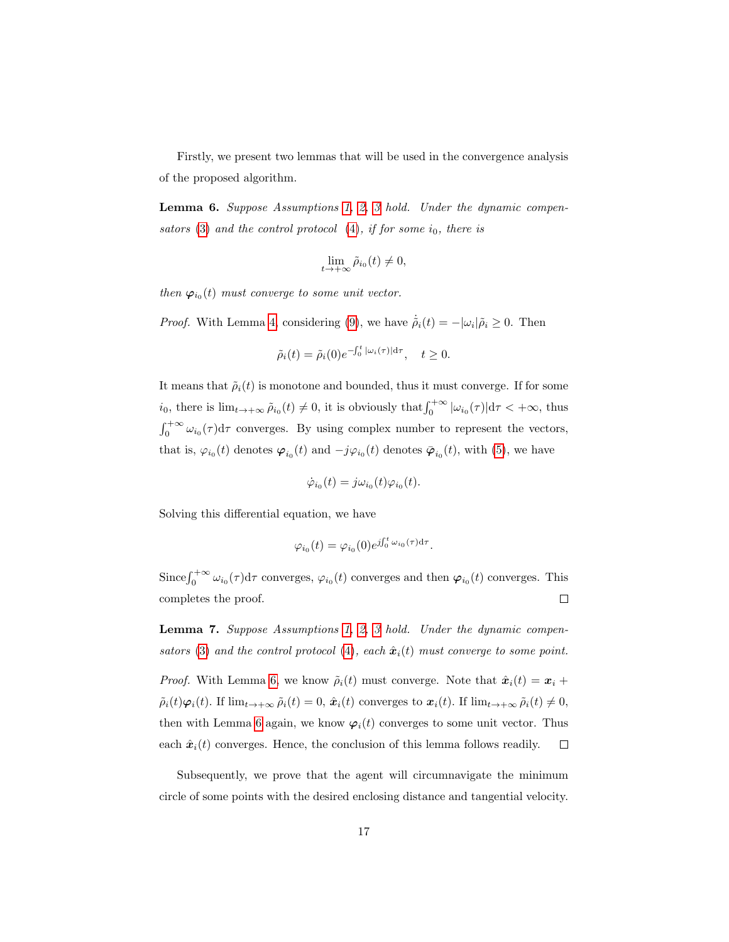Firstly, we present two lemmas that will be used in the convergence analysis of the proposed algorithm.

<span id="page-16-0"></span>Lemma 6. Suppose Assumptions [1,](#page-11-0) [2,](#page-11-1) [3](#page-11-2) hold. Under the dynamic compensators  $(3)$  and the control protocol  $(4)$ , if for some  $i_0$ , there is

$$
\lim_{t\to+\infty}\tilde{\rho}_{i_0}(t)\neq 0,
$$

then  $\varphi_{i_0}(t)$  must converge to some unit vector.

*Proof.* With Lemma [4,](#page-14-1) considering [\(9\)](#page-13-2), we have  $\dot{\tilde{\rho}}_i(t) = -|\omega_i| \tilde{\rho}_i \geq 0$ . Then

$$
\tilde{\rho}_i(t) = \tilde{\rho}_i(0)e^{-\int_0^t |\omega_i(\tau)|d\tau}, \quad t \ge 0.
$$

It means that  $\tilde{\rho}_i(t)$  is monotone and bounded, thus it must converge. If for some  $i_0$ , there is  $\lim_{t\to+\infty}\tilde{\rho}_{i_0}(t)\neq 0$ , it is obviously that  $\int_0^{+\infty}|\omega_{i_0}(\tau)|d\tau<+\infty$ , thus  $\int_0^{+\infty} \omega_{i_0}(\tau) d\tau$  converges. By using complex number to represent the vectors, that is,  $\varphi_{i_0}(t)$  denotes  $\varphi_{i_0}(t)$  and  $-j\varphi_{i_0}(t)$  denotes  $\bar{\varphi}_{i_0}(t)$ , with [\(5\)](#page-12-1), we have

$$
\dot{\varphi}_{i_0}(t) = j\omega_{i_0}(t)\varphi_{i_0}(t).
$$

Solving this differential equation, we have

$$
\varphi_{i_0}(t) = \varphi_{i_0}(0)e^{j\int_0^t \omega_{i_0}(\tau)d\tau}.
$$

Since  $\int_0^{+\infty} \omega_{i_0}(\tau) d\tau$  converges,  $\varphi_{i_0}(t)$  converges and then  $\varphi_{i_0}(t)$  converges. This  $\Box$ completes the proof.

Lemma 7. Suppose Assumptions [1,](#page-11-0) [2,](#page-11-1) [3](#page-11-2) hold. Under the dynamic compen-sators [\(3\)](#page-10-1) and the control protocol [\(4\)](#page-11-3), each  $\hat{x}_i(t)$  must converge to some point.

*Proof.* With Lemma [6,](#page-16-0) we know  $\tilde{\rho}_i(t)$  must converge. Note that  $\hat{x}_i(t) = x_i +$  $\tilde{\rho}_i(t)\varphi_i(t)$ . If  $\lim_{t\to+\infty}\tilde{\rho}_i(t)=0$ ,  $\hat{\boldsymbol{x}}_i(t)$  converges to  $\boldsymbol{x}_i(t)$ . If  $\lim_{t\to+\infty}\tilde{\rho}_i(t)\neq 0$ , then with Lemma [6](#page-16-0) again, we know  $\varphi_i(t)$  converges to some unit vector. Thus each  $\hat{x}_i(t)$  converges. Hence, the conclusion of this lemma follows readily.  $\Box$ 

Subsequently, we prove that the agent will circumnavigate the minimum circle of some points with the desired enclosing distance and tangential velocity.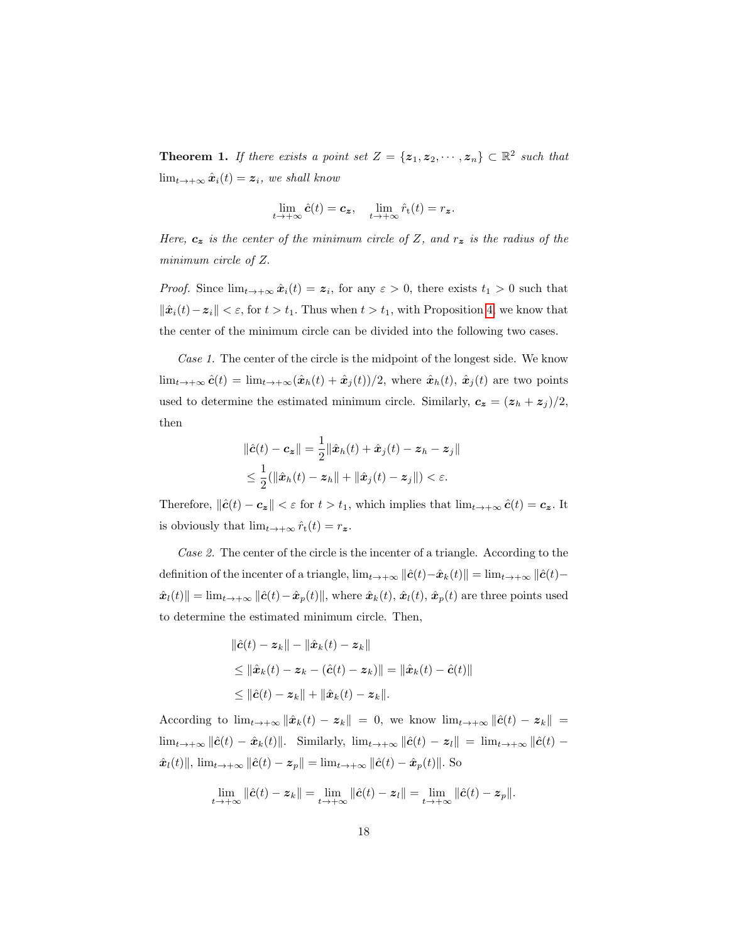<span id="page-17-0"></span>**Theorem 1.** If there exists a point set  $Z = \{z_1, z_2, \dots, z_n\} \subset \mathbb{R}^2$  such that  $\lim_{t\to+\infty} \hat{x}_i(t) = z_i$ , we shall know

$$
\lim_{t\to+\infty}\hat{\boldsymbol{c}}(t)=\boldsymbol{c}_{\boldsymbol{z}},\quad \lim_{t\to+\infty}\hat{r}_{\mathrm{t}}(t)=r_{\boldsymbol{z}}.
$$

Here,  $c_z$  is the center of the minimum circle of Z, and  $r_z$  is the radius of the minimum circle of Z.

*Proof.* Since  $\lim_{t\to+\infty} \hat{x}_i(t) = z_i$ , for any  $\varepsilon > 0$ , there exists  $t_1 > 0$  such that  $\|\hat{\boldsymbol{x}}_i(t)-\boldsymbol{z}_i\| < \varepsilon$ , for  $t > t_1$ . Thus when  $t > t_1$ , with Proposition [4,](#page-8-2) we know that the center of the minimum circle can be divided into the following two cases.

Case 1. The center of the circle is the midpoint of the longest side. We know  $\lim_{t\to+\infty} \hat{c}(t) = \lim_{t\to+\infty} (\hat{x}_h(t) + \hat{x}_j(t))/2$ , where  $\hat{x}_h(t)$ ,  $\hat{x}_j(t)$  are two points used to determine the estimated minimum circle. Similarly,  $c_z = (z_h + z_j)/2$ , then

<span id="page-17-1"></span>
$$
\|\hat{\mathbf{c}}(t) - \mathbf{c}_{\mathbf{z}}\| = \frac{1}{2} \|\hat{\mathbf{x}}_h(t) + \hat{\mathbf{x}}_j(t) - \mathbf{z}_h - \mathbf{z}_j\|
$$
  

$$
\leq \frac{1}{2} (\|\hat{\mathbf{x}}_h(t) - \mathbf{z}_h\| + \|\hat{\mathbf{x}}_j(t) - \mathbf{z}_j\|) < \varepsilon.
$$

Therefore,  $\|\hat{\bm{c}}(t) - \bm{c}_{\bm{z}}\| < \varepsilon$  for  $t > t_1$ , which implies that  $\lim_{t \to +\infty} \hat{\bm{c}}(t) = \bm{c}_{\bm{z}}$ . It is obviously that  $\lim_{t\to+\infty} \hat{r}_t(t) = r_z$ .

Case 2. The center of the circle is the incenter of a triangle. According to the definition of the incenter of a triangle,  $\lim_{t\to+\infty} ||\hat{c}(t)-\hat{x}_k(t)|| = \lim_{t\to+\infty} ||\hat{c}(t) \hat{x}_l(t)\| = \lim_{t\to+\infty} \|\hat{c}(t)-\hat{x}_p(t)\|$ , where  $\hat{x}_k(t), \hat{x}_l(t), \hat{x}_p(t)$  are three points used to determine the estimated minimum circle. Then,

$$
\begin{aligned} \|\hat{\mathbf{c}}(t) - \mathbf{z}_k\| - \|\hat{\mathbf{x}}_k(t) - \mathbf{z}_k\| \\ \leq \|\hat{\mathbf{x}}_k(t) - \mathbf{z}_k - (\hat{\mathbf{c}}(t) - \mathbf{z}_k)\| = \|\hat{\mathbf{x}}_k(t) - \hat{\mathbf{c}}(t)\| \\ \leq \|\hat{\mathbf{c}}(t) - \mathbf{z}_k\| + \|\hat{\mathbf{x}}_k(t) - \mathbf{z}_k\|. \end{aligned}
$$

According to  $\lim_{t\to+\infty} \|\hat{x}_k(t) - z_k\| = 0$ , we know  $\lim_{t\to+\infty} \|\hat{c}(t) - z_k\|$  $\lim_{t\to+\infty} \|\hat{\mathbf{c}}(t)-\hat{\mathbf{x}}_k(t)\|.$  Similarly,  $\lim_{t\to+\infty} \|\hat{\mathbf{c}}(t)-\mathbf{z}_l\| = \lim_{t\to+\infty} \|\hat{\mathbf{c}}(t)-\hat{\mathbf{z}}_l\|$  $\hat{x}_l(t)\|$ ,  $\lim_{t\to+\infty} \|\hat{c}(t)-z_p\| = \lim_{t\to+\infty} \|\hat{c}(t)-\hat{x}_p(t)\|$ . So

$$
\lim_{t\to+\infty}\|\hat{c}(t)-\boldsymbol{z}_k\|=\lim_{t\to+\infty}\|\hat{c}(t)-\boldsymbol{z}_l\|=\lim_{t\to+\infty}\|\hat{c}(t)-\boldsymbol{z}_p\|.
$$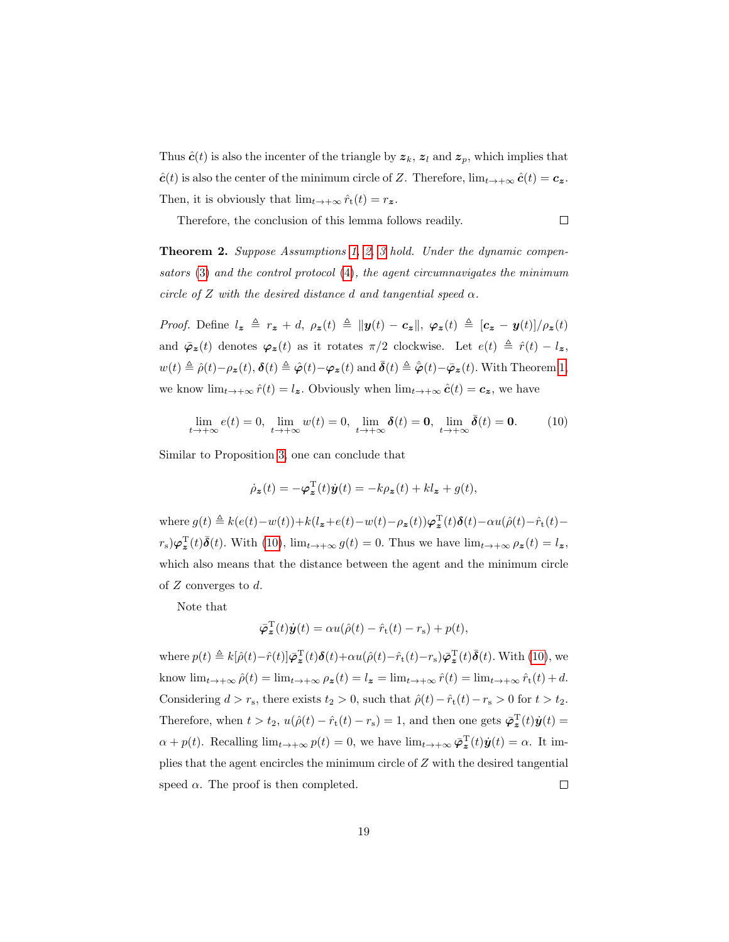Thus  $\hat{\mathbf{c}}(t)$  is also the incenter of the triangle by  $z_k$ ,  $z_l$  and  $z_p$ , which implies that  $\hat{\mathbf{c}}(t)$  is also the center of the minimum circle of Z. Therefore,  $\lim_{t\to+\infty} \hat{\mathbf{c}}(t) = \mathbf{c}_z$ . Then, it is obviously that  $\lim_{t\to+\infty} \hat{r}_t(t) = r_z$ .

 $\Box$ 

Therefore, the conclusion of this lemma follows readily.

<span id="page-18-0"></span>**Theorem 2.** Suppose Assumptions [1,](#page-11-0) [2,](#page-11-1) [3](#page-11-2) hold. Under the dynamic compensators [\(3\)](#page-10-1) and the control protocol [\(4\)](#page-11-3), the agent circumnavigates the minimum circle of Z with the desired distance d and tangential speed  $\alpha$ .

*Proof.* Define  $l_z \triangleq r_z + d$ ,  $\rho_z(t) \triangleq ||y(t) - c_z||$ ,  $\varphi_z(t) \triangleq [c_z - y(t)]/\rho_z(t)$ and  $\bar{\varphi}_z(t)$  denotes  $\varphi_z(t)$  as it rotates  $\pi/2$  clockwise. Let  $e(t) \triangleq \hat{r}(t) - l_z$ ,  $w(t) \triangleq \hat{\rho}(t) - \rho_{\mathbf{z}}(t), \, \boldsymbol{\delta}(t) \triangleq \hat{\boldsymbol{\varphi}}(t) - \boldsymbol{\varphi}_{\mathbf{z}}(t) \text{ and } \bar{\boldsymbol{\delta}}(t) \triangleq \hat{\boldsymbol{\varphi}}(t) - \bar{\boldsymbol{\varphi}}_{\mathbf{z}}(t). \text{ With Theorem 1,}$  $w(t) \triangleq \hat{\rho}(t) - \rho_{\mathbf{z}}(t), \, \boldsymbol{\delta}(t) \triangleq \hat{\boldsymbol{\varphi}}(t) - \boldsymbol{\varphi}_{\mathbf{z}}(t) \text{ and } \bar{\boldsymbol{\delta}}(t) \triangleq \hat{\boldsymbol{\varphi}}(t) - \bar{\boldsymbol{\varphi}}_{\mathbf{z}}(t). \text{ With Theorem 1,}$  $w(t) \triangleq \hat{\rho}(t) - \rho_{\mathbf{z}}(t), \, \boldsymbol{\delta}(t) \triangleq \hat{\boldsymbol{\varphi}}(t) - \boldsymbol{\varphi}_{\mathbf{z}}(t) \text{ and } \bar{\boldsymbol{\delta}}(t) \triangleq \hat{\boldsymbol{\varphi}}(t) - \bar{\boldsymbol{\varphi}}_{\mathbf{z}}(t). \text{ With Theorem 1,}$ we know  $\lim_{t\to+\infty} \hat{r}(t) = l_{\mathbf{z}}$ . Obviously when  $\lim_{t\to+\infty} \hat{c}(t) = c_{\mathbf{z}}$ , we have

$$
\lim_{t \to +\infty} e(t) = 0, \lim_{t \to +\infty} w(t) = 0, \lim_{t \to +\infty} \delta(t) = 0, \lim_{t \to +\infty} \bar{\delta}(t) = 0.
$$
 (10)

Similar to Proposition [3,](#page-8-5) one can conclude that

$$
\dot{\rho}_{\mathbf{z}}(t) = -\boldsymbol{\varphi}_{\mathbf{z}}^{\mathrm{T}}(t)\dot{\mathbf{y}}(t) = -k\rho_{\mathbf{z}}(t) + kl_{\mathbf{z}} + g(t),
$$

where  $g(t) \triangleq k(e(t) - w(t)) + k(l_z + e(t) - w(t) - \rho_z(t))\varphi_z^{\mathrm{T}}(t)\delta(t) - \alpha u(\hat{\rho}(t) - \hat{r}_t(t) (r_s)\varphi_{\bm{z}}^{\mathrm{T}}(t)\bar{\bm{\delta}}(t)$ . With [\(10\)](#page-17-1),  $\lim_{t\to+\infty}g(t)=0$ . Thus we have  $\lim_{t\to+\infty}\rho_{\bm{z}}(t)=l_{\bm{z}},$ which also means that the distance between the agent and the minimum circle of Z converges to d.

Note that

$$
\bar{\varphi}_{\mathbf{z}}^{\mathrm{T}}(t)\dot{\mathbf{y}}(t) = \alpha u(\hat{\rho}(t) - \hat{r}_{\mathrm{t}}(t) - r_{\mathrm{s}}) + p(t),
$$

where  $p(t) \triangleq k[\hat{\rho}(t)-\hat{r}(t)]\bar{\varphi}_{\bm{z}}^{\mathrm{T}}(t)\boldsymbol{\delta}(t)+\alpha u(\hat{\rho}(t)-\hat{r}_{\mathrm{t}}(t)-r_{\mathrm{s}})\bar{\varphi}_{\bm{z}}^{\mathrm{T}}(t)\bar{\boldsymbol{\delta}}(t)$ . With [\(10\)](#page-17-1), we know  $\lim_{t\to+\infty}\hat{\rho}(t) = \lim_{t\to+\infty}\rho_{\mathbf{z}}(t) = l_{\mathbf{z}} = \lim_{t\to+\infty}\hat{r}(t) = \lim_{t\to+\infty}\hat{r}_t(t) + d$ . Considering  $d > r_s$ , there exists  $t_2 > 0$ , such that  $\hat{\rho}(t) - \hat{r}_t(t) - r_s > 0$  for  $t > t_2$ . Therefore, when  $t > t_2$ ,  $u(\hat{\rho}(t) - \hat{r}_t(t) - r_s) = 1$ , and then one gets  $\bar{\varphi}_z^T(t)\dot{y}(t) =$  $\alpha + p(t)$ . Recalling  $\lim_{t \to +\infty} p(t) = 0$ , we have  $\lim_{t \to +\infty} \overline{\varphi}_z^T(t) \dot{y}(t) = \alpha$ . It implies that the agent encircles the minimum circle of Z with the desired tangential speed  $\alpha$ . The proof is then completed.  $\Box$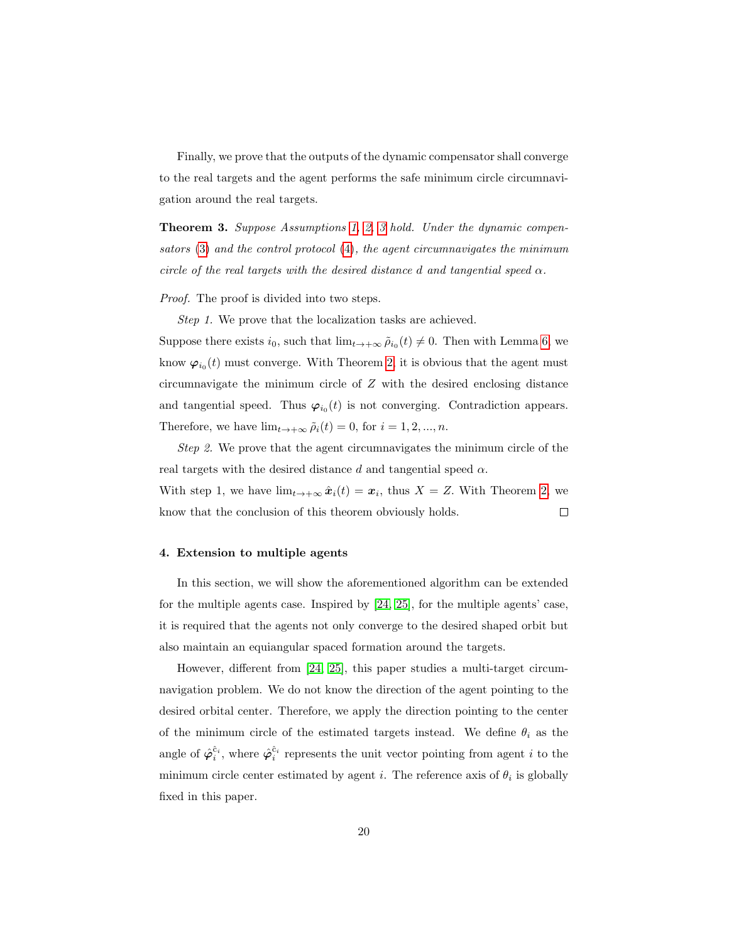Finally, we prove that the outputs of the dynamic compensator shall converge to the real targets and the agent performs the safe minimum circle circumnavigation around the real targets.

**Theorem [3](#page-11-2).** Suppose Assumptions [1,](#page-11-0) [2,](#page-11-1) 3 hold. Under the dynamic compensators [\(3\)](#page-10-1) and the control protocol [\(4\)](#page-11-3), the agent circumnavigates the minimum circle of the real targets with the desired distance d and tangential speed  $\alpha$ .

Proof. The proof is divided into two steps.

Step 1. We prove that the localization tasks are achieved.

Suppose there exists  $i_0$ , such that  $\lim_{t\to+\infty} \tilde{\rho}_{i_0}(t) \neq 0$ . Then with Lemma [6,](#page-16-0) we know  $\varphi_{i_0}(t)$  must converge. With Theorem [2,](#page-18-0) it is obvious that the agent must circumnavigate the minimum circle of Z with the desired enclosing distance and tangential speed. Thus  $\varphi_{i_0}(t)$  is not converging. Contradiction appears. Therefore, we have  $\lim_{t\to+\infty} \tilde{\rho}_i(t) = 0$ , for  $i = 1, 2, ..., n$ .

Step 2. We prove that the agent circumnavigates the minimum circle of the real targets with the desired distance d and tangential speed  $\alpha$ .

With step 1, we have  $\lim_{t\to+\infty} \hat{x}_i(t) = x_i$ , thus  $X = Z$ . With Theorem [2,](#page-18-0) we know that the conclusion of this theorem obviously holds.  $\Box$ 

# <span id="page-19-0"></span>4. Extension to multiple agents

In this section, we will show the aforementioned algorithm can be extended for the multiple agents case. Inspired by [\[24,](#page-28-6) [25\]](#page-28-0), for the multiple agents' case, it is required that the agents not only converge to the desired shaped orbit but also maintain an equiangular spaced formation around the targets.

However, different from [\[24,](#page-28-6) [25\]](#page-28-0), this paper studies a multi-target circumnavigation problem. We do not know the direction of the agent pointing to the desired orbital center. Therefore, we apply the direction pointing to the center of the minimum circle of the estimated targets instead. We define  $\theta_i$  as the angle of  $\hat{\varphi}_i^{\hat{c}_i}$ , where  $\hat{\varphi}_i^{\hat{c}_i}$  represents the unit vector pointing from agent *i* to the minimum circle center estimated by agent *i*. The reference axis of  $\theta_i$  is globally fixed in this paper.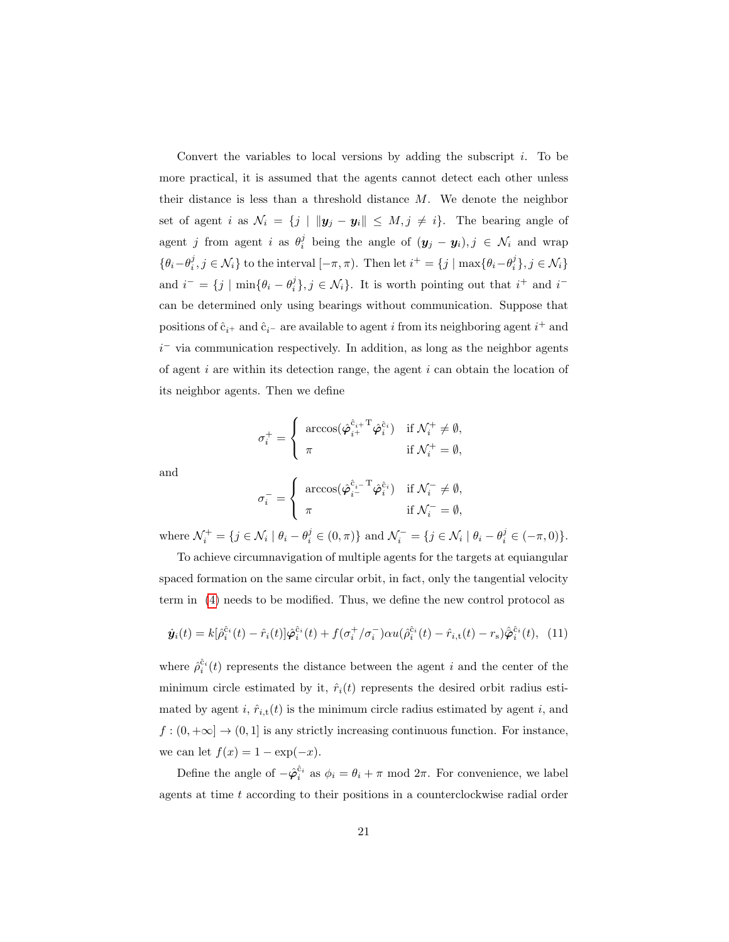Convert the variables to local versions by adding the subscript  $i$ . To be more practical, it is assumed that the agents cannot detect each other unless their distance is less than a threshold distance  $M$ . We denote the neighbor set of agent i as  $\mathcal{N}_i = \{j \mid ||\mathbf{y}_j - \mathbf{y}_i|| \leq M, j \neq i\}.$  The bearing angle of agent j from agent i as  $\theta_i^j$  being the angle of  $(y_j - y_i)$ ,  $j \in \mathcal{N}_i$  and wrap  $\{\theta_i-\theta_i^j, j \in \mathcal{N}_i\}$  to the interval  $[-\pi, \pi)$ . Then let  $i^+ = \{j \mid \max\{\theta_i-\theta_i^j\}, j \in \mathcal{N}_i\}$ and  $i^- = \{j \mid \min\{\theta_i - \theta_i^j\}, j \in \mathcal{N}_i\}$ . It is worth pointing out that  $i^+$  and  $i^$ can be determined only using bearings without communication. Suppose that positions of  $\hat{\mathbf{c}}_{i^+}$  and  $\hat{\mathbf{c}}_{i^-}$  are available to agent i from its neighboring agent  $i^+$  and  $i<sup>-</sup>$  via communication respectively. In addition, as long as the neighbor agents of agent  $i$  are within its detection range, the agent  $i$  can obtain the location of its neighbor agents. Then we define

$$
\sigma_i^+ = \begin{cases}\n\arccos(\hat{\varphi}_{i^+}^{\hat{c}_{i^+}} \hat{\varphi}_{i}^{\hat{c}_i}) & \text{if } \mathcal{N}_i^+ \neq \emptyset, \\
\pi & \text{if } \mathcal{N}_i^+ = \emptyset,\n\end{cases}
$$

and

<span id="page-20-0"></span>
$$
\sigma_i^- = \begin{cases}\n\arccos(\hat{\varphi}_{i^-}^{\hat{c}_i - T} \hat{\varphi}_i^{\hat{c}_i}) & \text{if } \mathcal{N}_i^- \neq \emptyset, \\
\pi & \text{if } \mathcal{N}_i^- = \emptyset,\n\end{cases}
$$

where  $\mathcal{N}_i^+ = \{ j \in \mathcal{N}_i \mid \theta_i - \theta_i^j \in (0, \pi) \}$  and  $\mathcal{N}_i^- = \{ j \in \mathcal{N}_i \mid \theta_i - \theta_i^j \in (-\pi, 0) \}.$ 

To achieve circumnavigation of multiple agents for the targets at equiangular spaced formation on the same circular orbit, in fact, only the tangential velocity term in [\(4\)](#page-11-3) needs to be modified. Thus, we define the new control protocol as

$$
\dot{\mathbf{y}}_i(t) = k[\hat{\rho}_i^{\hat{c}_i}(t) - \hat{r}_i(t)]\hat{\varphi}_i^{\hat{c}_i}(t) + f(\sigma_i^+/\sigma_i^-)\alpha u(\hat{\rho}_i^{\hat{c}_i}(t) - \hat{r}_{i,t}(t) - r_s)\hat{\varphi}_i^{\hat{c}_i}(t), \tag{11}
$$

where  $\hat{\rho}_i^{\hat{c}_i}(t)$  represents the distance between the agent i and the center of the minimum circle estimated by it,  $\hat{r}_i(t)$  represents the desired orbit radius estimated by agent i,  $\hat{r}_{i,t}(t)$  is the minimum circle radius estimated by agent i, and  $f:(0,+\infty]\to (0,1]$  is any strictly increasing continuous function. For instance, we can let  $f(x) = 1 - \exp(-x)$ .

Define the angle of  $-\hat{\varphi}_i^{\hat{c}_i}$  as  $\phi_i = \theta_i + \pi \mod 2\pi$ . For convenience, we label agents at time t according to their positions in a counterclockwise radial order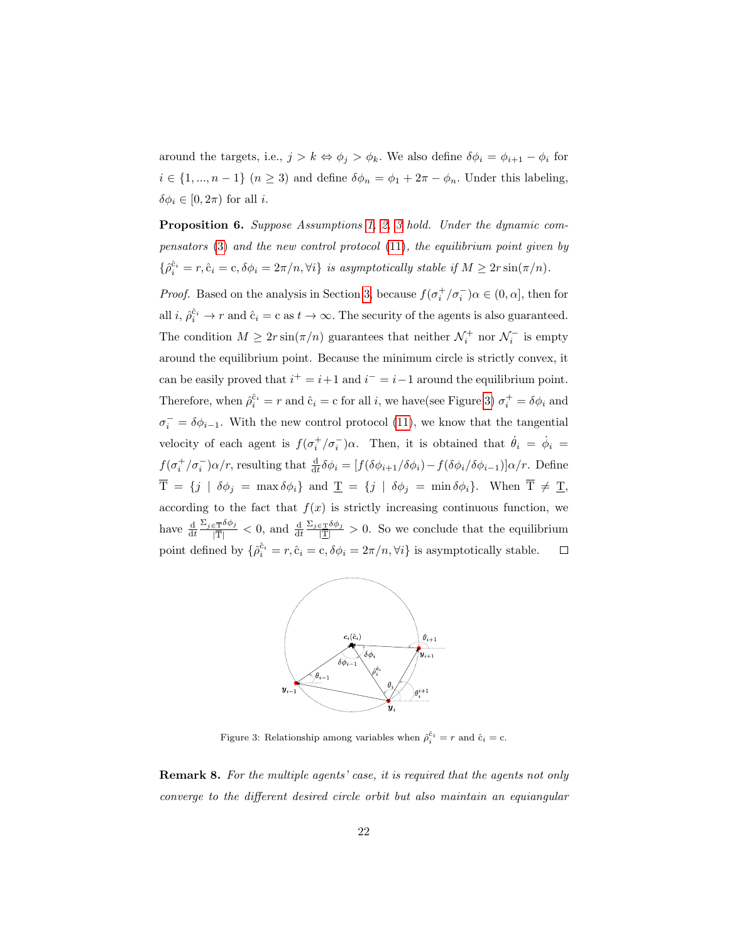around the targets, i.e.,  $j > k \Leftrightarrow \phi_j > \phi_k$ . We also define  $\delta \phi_i = \phi_{i+1} - \phi_i$  for  $i \in \{1, ..., n-1\}$   $(n \geq 3)$  and define  $\delta\phi_n = \phi_1 + 2\pi - \phi_n$ . Under this labeling,  $\delta\phi_i \in [0, 2\pi)$  for all *i*.

Proposition 6. Suppose Assumptions [1,](#page-11-0) [2,](#page-11-1) [3](#page-11-2) hold. Under the dynamic compensators [\(3\)](#page-10-1) and the new control protocol [\(11\)](#page-20-0), the equilibrium point given by  $\{\hat{\rho}_i^{\hat{c}_i} = r, \hat{c}_i = c, \delta \phi_i = 2\pi/n, \forall i\}$  is asymptotically stable if  $M \geq 2r \sin(\pi/n)$ .

*Proof.* Based on the analysis in Section [3,](#page-10-0) because  $f(\sigma_i^+/\sigma_i^-)\alpha \in (0, \alpha]$ , then for all *i*,  $\hat{\rho}_i^{\hat{c}_i} \to r$  and  $\hat{c}_i = c$  as  $t \to \infty$ . The security of the agents is also guaranteed. The condition  $M \geq 2r \sin(\pi/n)$  guarantees that neither  $\mathcal{N}_i^+$  nor  $\mathcal{N}_i^-$  is empty around the equilibrium point. Because the minimum circle is strictly convex, it can be easily proved that  $i^+ = i+1$  and  $i^- = i-1$  around the equilibrium point. Therefore, when  $\hat{\rho}_i^{\hat{c}_i} = r$  and  $\hat{c}_i = c$  for all i, we have(see Figure [3\)](#page-21-0)  $\sigma_i^+ = \delta \phi_i$  and  $\sigma_i^- = \delta \phi_{i-1}$ . With the new control protocol [\(11\)](#page-20-0), we know that the tangential velocity of each agent is  $f(\sigma_i^+/\sigma_i^-)\alpha$ . Then, it is obtained that  $\dot{\theta}_i = \dot{\phi}_i =$  $f(\sigma_i^+/\sigma_i^-)\alpha/r$ , resulting that  $\frac{d}{dt}\delta\phi_i = [f(\delta\phi_{i+1}/\delta\phi_i) - f(\delta\phi_i/\delta\phi_{i-1})]\alpha/r$ . Define  $\overline{T} = \{j \mid \delta\phi_j = \max \delta\phi_i\}$  and  $\underline{T} = \{j \mid \delta\phi_j = \min \delta\phi_i\}$ . When  $\overline{T} \neq \underline{T}$ , according to the fact that  $f(x)$  is strictly increasing continuous function, we have  $\frac{d}{dt} \frac{\Sigma_{j \in \overline{T}} \delta \phi_j}{|\overline{T}|}$  $\frac{\Sigma_{j\in\mathcal{I}}\delta\phi_j}{|\mathcal{I}|} > 0$ . So we conclude that the equilibrium  $\frac{\partial \bar{\mathbf{T}}^{\partial \phi_j}}{|\mathbf{T}|} < 0$ , and  $\frac{\mathrm{d}}{\mathrm{d}t}$ point defined by  $\{\hat{\rho}_i^{\hat{c}_i} = r, \hat{c}_i = c, \delta \phi_i = 2\pi/n, \forall i\}$  is asymptotically stable.  $\Box$ 



<span id="page-21-0"></span>Figure 3: Relationship among variables when  $\hat{\rho}_i^{\hat{c}_i} = r$  and  $\hat{c}_i = c$ .

Remark 8. For the multiple agents' case, it is required that the agents not only converge to the different desired circle orbit but also maintain an equiangular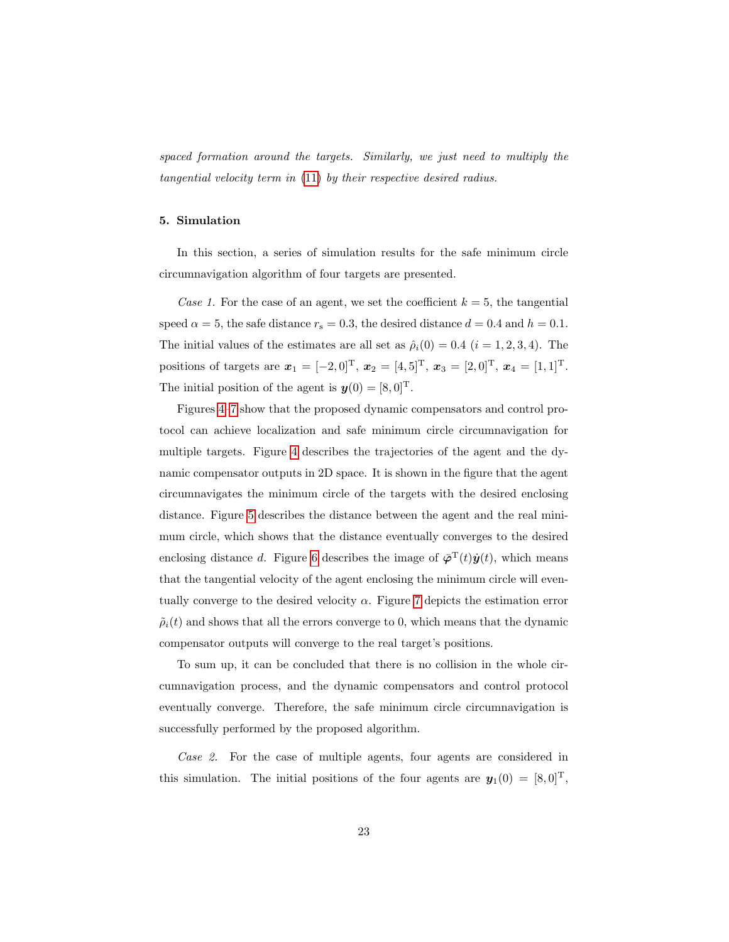spaced formation around the targets. Similarly, we just need to multiply the tangential velocity term in [\(11\)](#page-20-0) by their respective desired radius.

## <span id="page-22-0"></span>5. Simulation

In this section, a series of simulation results for the safe minimum circle circumnavigation algorithm of four targets are presented.

Case 1. For the case of an agent, we set the coefficient  $k = 5$ , the tangential speed  $\alpha = 5$ , the safe distance  $r_s = 0.3$ , the desired distance  $d = 0.4$  and  $h = 0.1$ . The initial values of the estimates are all set as  $\hat{\rho}_i(0) = 0.4$   $(i = 1, 2, 3, 4)$ . The positions of targets are  $\mathbf{x}_1 = [-2, 0]^T$ ,  $\mathbf{x}_2 = [4, 5]^T$ ,  $\mathbf{x}_3 = [2, 0]^T$ ,  $\mathbf{x}_4 = [1, 1]^T$ . The initial position of the agent is  $\mathbf{y}(0) = [8, 0]^{\mathrm{T}}$ .

Figures [4–](#page-23-0)[7](#page-24-0) show that the proposed dynamic compensators and control protocol can achieve localization and safe minimum circle circumnavigation for multiple targets. Figure [4](#page-23-0) describes the trajectories of the agent and the dynamic compensator outputs in 2D space. It is shown in the figure that the agent circumnavigates the minimum circle of the targets with the desired enclosing distance. Figure [5](#page-23-1) describes the distance between the agent and the real minimum circle, which shows that the distance eventually converges to the desired enclosing distance d. Figure [6](#page-23-2) describes the image of  $\bar{\varphi}^T(t)\dot{y}(t)$ , which means that the tangential velocity of the agent enclosing the minimum circle will eventually converge to the desired velocity  $\alpha$ . Figure [7](#page-24-0) depicts the estimation error  $\tilde{\rho}_i(t)$  and shows that all the errors converge to 0, which means that the dynamic compensator outputs will converge to the real target's positions.

To sum up, it can be concluded that there is no collision in the whole circumnavigation process, and the dynamic compensators and control protocol eventually converge. Therefore, the safe minimum circle circumnavigation is successfully performed by the proposed algorithm.

Case 2. For the case of multiple agents, four agents are considered in this simulation. The initial positions of the four agents are  $\mathbf{y}_1(0) = [8, 0]^T$ ,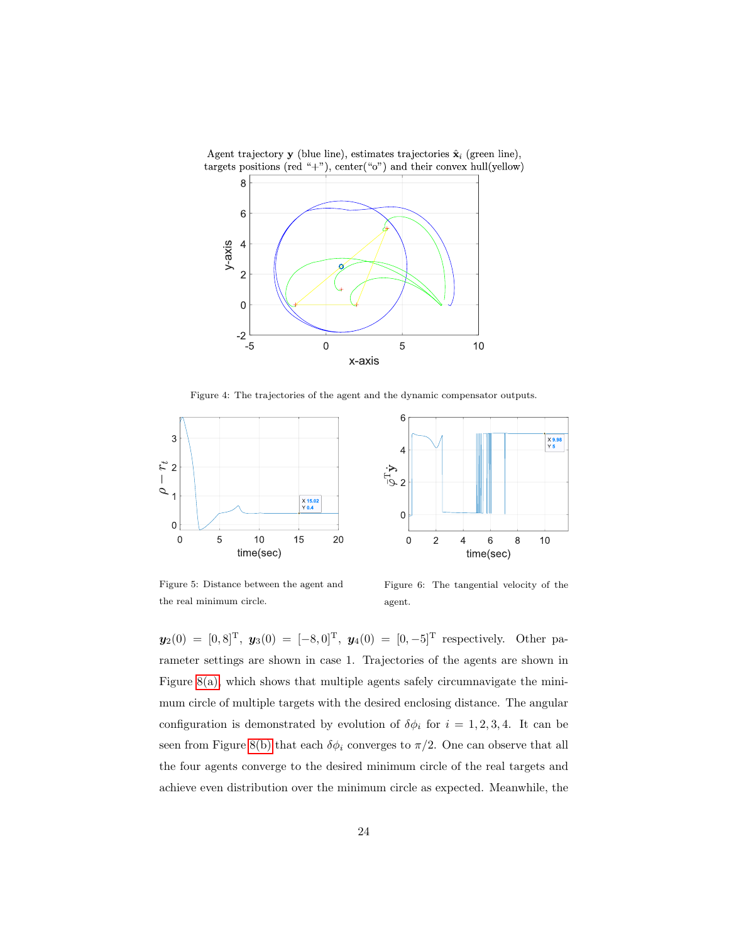

<span id="page-23-0"></span>Figure 4: The trajectories of the agent and the dynamic compensator outputs.



<span id="page-23-1"></span>Figure 5: Distance between the agent and the real minimum circle.

<span id="page-23-2"></span>Figure 6: The tangential velocity of the agent.

 $y_2(0) = [0, 8]^T$ ,  $y_3(0) = [-8, 0]^T$ ,  $y_4(0) = [0, -5]^T$  respectively. Other parameter settings are shown in case 1. Trajectories of the agents are shown in Figure [8\(a\),](#page-24-1) which shows that multiple agents safely circumnavigate the minimum circle of multiple targets with the desired enclosing distance. The angular configuration is demonstrated by evolution of  $\delta\phi_i$  for  $i = 1, 2, 3, 4$ . It can be seen from Figure [8\(b\)](#page-24-2) that each  $\delta\phi_i$  converges to  $\pi/2$ . One can observe that all the four agents converge to the desired minimum circle of the real targets and achieve even distribution over the minimum circle as expected. Meanwhile, the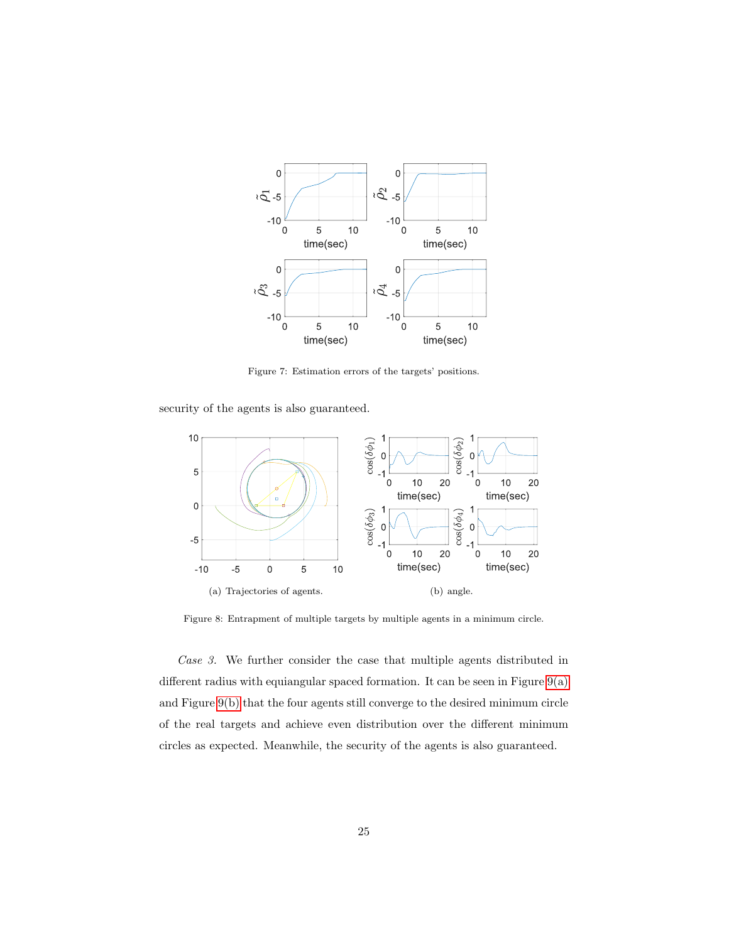

<span id="page-24-0"></span>Figure 7: Estimation errors of the targets' positions.

security of the agents is also guaranteed.



<span id="page-24-2"></span><span id="page-24-1"></span>Figure 8: Entrapment of multiple targets by multiple agents in a minimum circle.

Case 3. We further consider the case that multiple agents distributed in different radius with equiangular spaced formation. It can be seen in Figure  $9(a)$ and Figure [9\(b\)](#page-25-2) that the four agents still converge to the desired minimum circle of the real targets and achieve even distribution over the different minimum circles as expected. Meanwhile, the security of the agents is also guaranteed.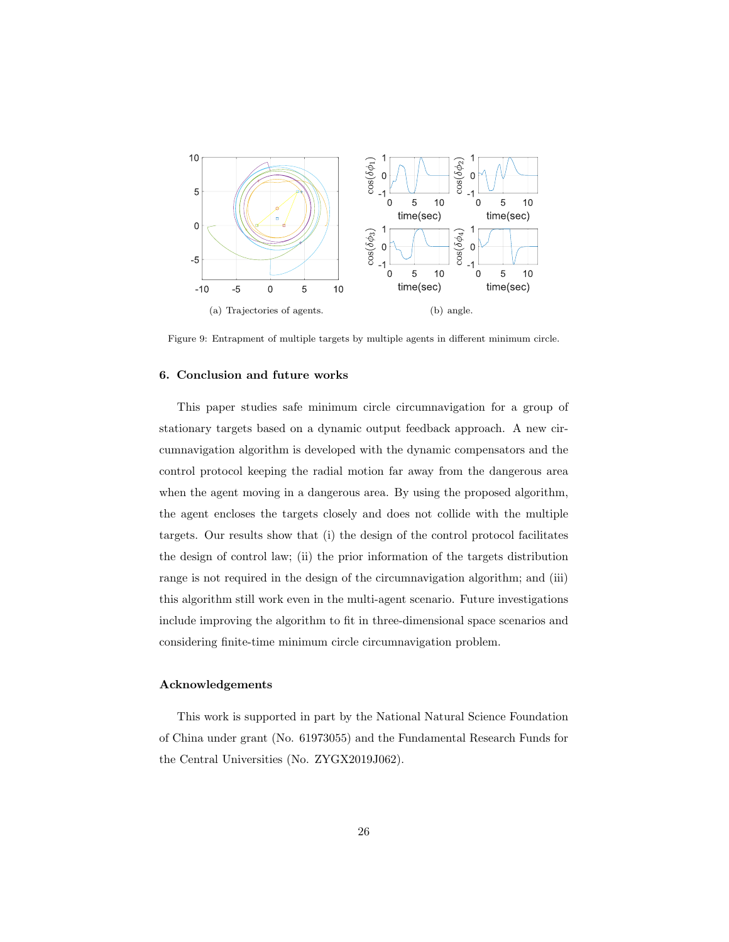

<span id="page-25-2"></span><span id="page-25-1"></span>Figure 9: Entrapment of multiple targets by multiple agents in different minimum circle.

### <span id="page-25-0"></span>6. Conclusion and future works

This paper studies safe minimum circle circumnavigation for a group of stationary targets based on a dynamic output feedback approach. A new circumnavigation algorithm is developed with the dynamic compensators and the control protocol keeping the radial motion far away from the dangerous area when the agent moving in a dangerous area. By using the proposed algorithm, the agent encloses the targets closely and does not collide with the multiple targets. Our results show that (i) the design of the control protocol facilitates the design of control law; (ii) the prior information of the targets distribution range is not required in the design of the circumnavigation algorithm; and (iii) this algorithm still work even in the multi-agent scenario. Future investigations include improving the algorithm to fit in three-dimensional space scenarios and considering finite-time minimum circle circumnavigation problem.

# Acknowledgements

This work is supported in part by the National Natural Science Foundation of China under grant (No. 61973055) and the Fundamental Research Funds for the Central Universities (No. ZYGX2019J062).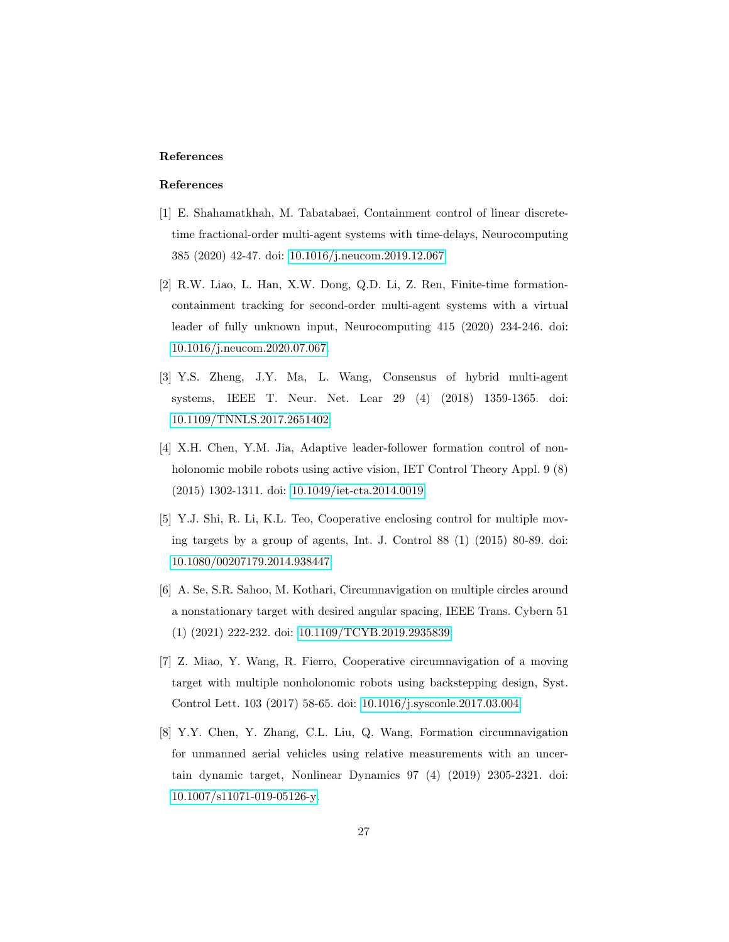# References

# References

- <span id="page-26-0"></span>[1] E. Shahamatkhah, M. Tabatabaei, Containment control of linear discretetime fractional-order multi-agent systems with time-delays, Neurocomputing 385 (2020) 42-47. doi: [10.1016/j.neucom.2019.12.067.](https://doi.org/10.1016/j.neucom.2019.12.067)
- [2] R.W. Liao, L. Han, X.W. Dong, Q.D. Li, Z. Ren, Finite-time formationcontainment tracking for second-order multi-agent systems with a virtual leader of fully unknown input, Neurocomputing 415 (2020) 234-246. doi: [10.1016/j.neucom.2020.07.067.](https://doi.org/10.1016/j.neucom.2020.07.067)
- [3] Y.S. Zheng, J.Y. Ma, L. Wang, Consensus of hybrid multi-agent systems, IEEE T. Neur. Net. Lear 29 (4) (2018) 1359-1365. doi: [10.1109/TNNLS.2017.2651402.](https://doi.org/10.1109/TNNLS.2017.2651402)
- <span id="page-26-1"></span>[4] X.H. Chen, Y.M. Jia, Adaptive leader-follower formation control of nonholonomic mobile robots using active vision, IET Control Theory Appl. 9 (8) (2015) 1302-1311. doi: [10.1049/iet-cta.2014.0019.](https://doi.org/10.1049/iet-cta.2014.0019)
- <span id="page-26-2"></span>[5] Y.J. Shi, R. Li, K.L. Teo, Cooperative enclosing control for multiple moving targets by a group of agents, Int. J. Control 88 (1) (2015) 80-89. doi: [10.1080/00207179.2014.938447.](https://doi.org/10.1080/00207179.2014.938447)
- [6] A. Se, S.R. Sahoo, M. Kothari, Circumnavigation on multiple circles around a nonstationary target with desired angular spacing, IEEE Trans. Cybern 51 (1) (2021) 222-232. doi: [10.1109/TCYB.2019.2935839.](https://doi.org/10.1109/TCYB.2019.2935839)
- [7] Z. Miao, Y. Wang, R. Fierro, Cooperative circumnavigation of a moving target with multiple nonholonomic robots using backstepping design, Syst. Control Lett. 103 (2017) 58-65. doi: [10.1016/j.sysconle.2017.03.004.](https://doi.org/10.1016/j.sysconle.2017.03.004)
- <span id="page-26-3"></span>[8] Y.Y. Chen, Y. Zhang, C.L. Liu, Q. Wang, Formation circumnavigation for unmanned aerial vehicles using relative measurements with an uncertain dynamic target, Nonlinear Dynamics 97 (4) (2019) 2305-2321. doi: [10.1007/s11071-019-05126-y.](https://doi.org/10.1007/s11071-019-05126-y)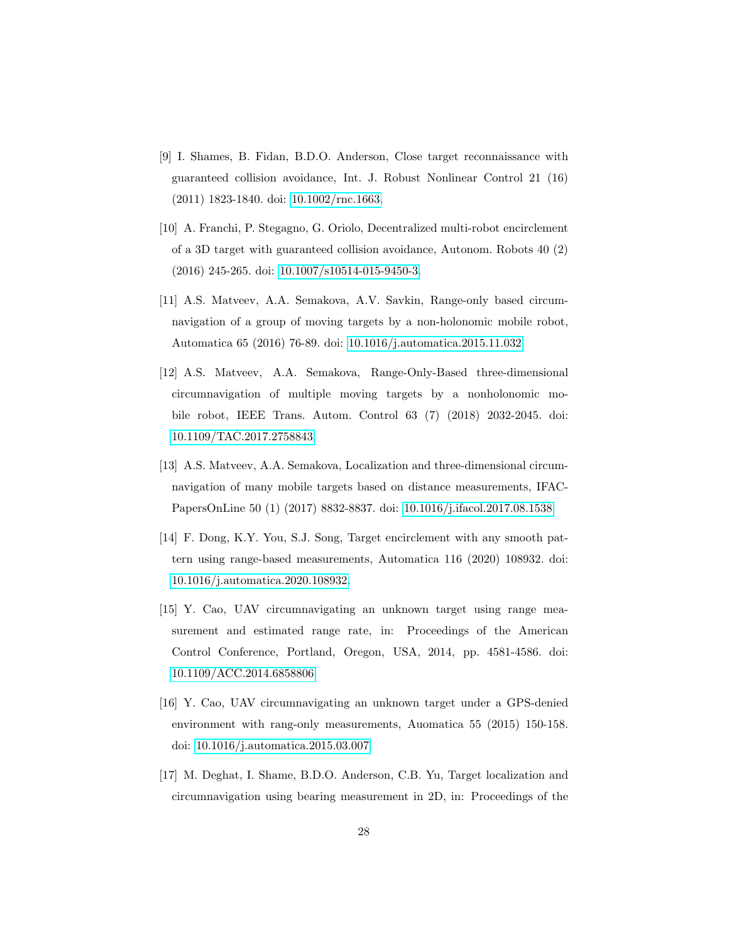- [9] I. Shames, B. Fidan, B.D.O. Anderson, Close target reconnaissance with guaranteed collision avoidance, Int. J. Robust Nonlinear Control 21 (16) (2011) 1823-1840. doi: [10.1002/rnc.1663.](https://doi.org/10.1002/rnc.1663)
- <span id="page-27-0"></span>[10] A. Franchi, P. Stegagno, G. Oriolo, Decentralized multi-robot encirclement of a 3D target with guaranteed collision avoidance, Autonom. Robots 40 (2) (2016) 245-265. doi: [10.1007/s10514-015-9450-3.](https://doi.org/10.1007/s10514-015-9450-3)
- <span id="page-27-1"></span>[11] A.S. Matveev, A.A. Semakova, A.V. Savkin, Range-only based circumnavigation of a group of moving targets by a non-holonomic mobile robot, Automatica 65 (2016) 76-89. doi: [10.1016/j.automatica.2015.11.032.](https://doi.org/10.1016/j.automatica.2015.11.032)
- [12] A.S. Matveev, A.A. Semakova, Range-Only-Based three-dimensional circumnavigation of multiple moving targets by a nonholonomic mobile robot, IEEE Trans. Autom. Control 63 (7) (2018) 2032-2045. doi: [10.1109/TAC.2017.2758843.](https://doi.org/10.1109/TAC.2017.2758843)
- [13] A.S. Matveev, A.A. Semakova, Localization and three-dimensional circumnavigation of many mobile targets based on distance measurements, IFAC-PapersOnLine 50 (1) (2017) 8832-8837. doi: [10.1016/j.ifacol.2017.08.1538.](https://doi.org/10.1016/j.ifacol.2017.08.1538)
- [14] F. Dong, K.Y. You, S.J. Song, Target encirclement with any smooth pattern using range-based measurements, Automatica 116 (2020) 108932. doi: [10.1016/j.automatica.2020.108932.](https://doi.org/10.1016/j.automatica.2020.108932)
- [15] Y. Cao, UAV circumnavigating an unknown target using range measurement and estimated range rate, in: Proceedings of the American Control Conference, Portland, Oregon, USA, 2014, pp. 4581-4586. doi: [10.1109/ACC.2014.6858806.](https://doi.org/10.1109/ACC.2014.6858806)
- <span id="page-27-2"></span>[16] Y. Cao, UAV circumnavigating an unknown target under a GPS-denied environment with rang-only measurements, Auomatica 55 (2015) 150-158. doi: [10.1016/j.automatica.2015.03.007.](https://doi.org/10.1016/j.automatica.2015.03.007)
- <span id="page-27-3"></span>[17] M. Deghat, I. Shame, B.D.O. Anderson, C.B. Yu, Target localization and circumnavigation using bearing measurement in 2D, in: Proceedings of the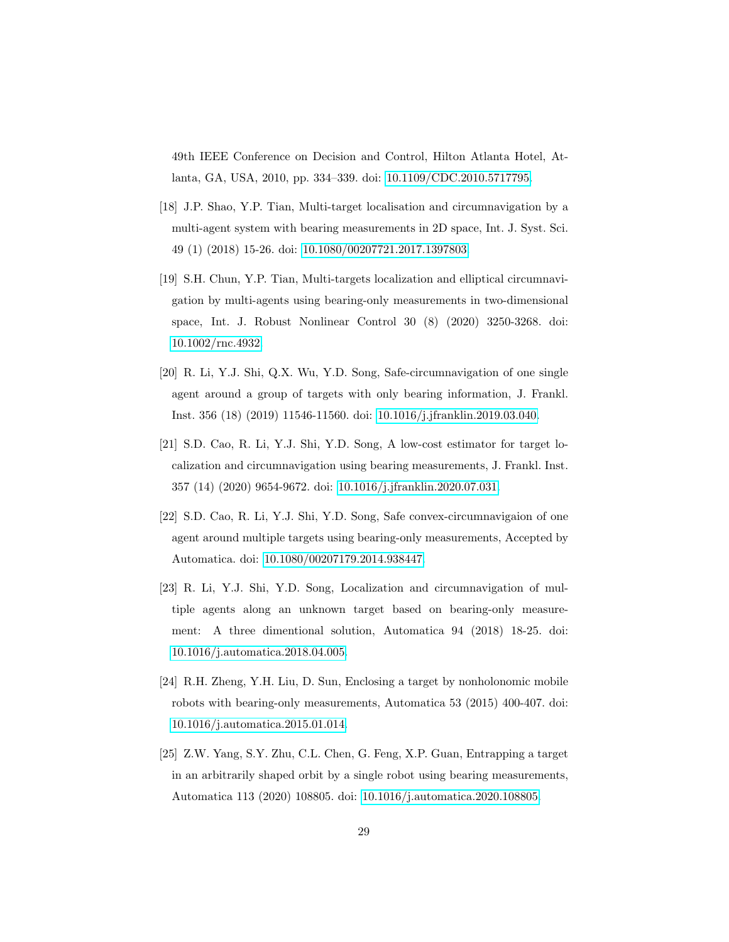49th IEEE Conference on Decision and Control, Hilton Atlanta Hotel, Atlanta, GA, USA, 2010, pp. 334–339. doi: [10.1109/CDC.2010.5717795.](https://doi.org/10.1109/CDC.2010.5717795)

- <span id="page-28-1"></span>[18] J.P. Shao, Y.P. Tian, Multi-target localisation and circumnavigation by a multi-agent system with bearing measurements in 2D space, Int. J. Syst. Sci. 49 (1) (2018) 15-26. doi: [10.1080/00207721.2017.1397803.](https://doi.org/10.1080/00207721.2017.1397803)
- <span id="page-28-2"></span>[19] S.H. Chun, Y.P. Tian, Multi-targets localization and elliptical circumnavigation by multi-agents using bearing-only measurements in two-dimensional space, Int. J. Robust Nonlinear Control 30 (8) (2020) 3250-3268. doi: [10.1002/rnc.4932.](https://doi.org/10.1002/rnc.4932)
- <span id="page-28-3"></span>[20] R. Li, Y.J. Shi, Q.X. Wu, Y.D. Song, Safe-circumnavigation of one single agent around a group of targets with only bearing information, J. Frankl. Inst. 356 (18) (2019) 11546-11560. doi: [10.1016/j.jfranklin.2019.03.040.](https://doi.org/10.1016/j.jfranklin.2019.03.040)
- <span id="page-28-4"></span>[21] S.D. Cao, R. Li, Y.J. Shi, Y.D. Song, A low-cost estimator for target localization and circumnavigation using bearing measurements, J. Frankl. Inst. 357 (14) (2020) 9654-9672. doi: [10.1016/j.jfranklin.2020.07.031.](https://doi.org/10.1016/j.jfranklin.2020.07.031)
- <span id="page-28-5"></span>[22] S.D. Cao, R. Li, Y.J. Shi, Y.D. Song, Safe convex-circumnavigaion of one agent around multiple targets using bearing-only measurements, Accepted by Automatica. doi: [10.1080/00207179.2014.938447.](https://doi.org/10.1080/00207179.2014.938447)
- [23] R. Li, Y.J. Shi, Y.D. Song, Localization and circumnavigation of multiple agents along an unknown target based on bearing-only measurement: A three dimentional solution, Automatica 94 (2018) 18-25. doi: [10.1016/j.automatica.2018.04.005.](https://doi.org/10.1016/j.automatica.2018.04.005)
- <span id="page-28-6"></span>[24] R.H. Zheng, Y.H. Liu, D. Sun, Enclosing a target by nonholonomic mobile robots with bearing-only measurements, Automatica 53 (2015) 400-407. doi: [10.1016/j.automatica.2015.01.014.](https://doi.org/10.1016/j.automatica.2015.01.014)
- <span id="page-28-0"></span>[25] Z.W. Yang, S.Y. Zhu, C.L. Chen, G. Feng, X.P. Guan, Entrapping a target in an arbitrarily shaped orbit by a single robot using bearing measurements, Automatica 113 (2020) 108805. doi: [10.1016/j.automatica.2020.108805.](https://doi.org/10.1016/j.automatica.2020.108805)